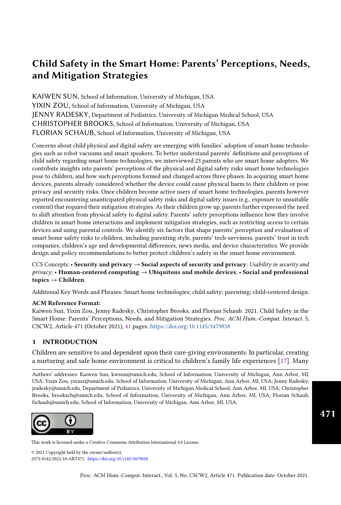# Child Safety in the Smart Home: Parents' Perceptions, Needs, and Mitigation Strategies

KAIWEN SUN, School of Information, University of Michigan, USA YIXIN ZOU, School of Information, University of Michigan, USA JENNY RADESKY, Department of Pediatrics, University of Michigan Medical School, USA CHRISTOPHER BROOKS, School of Information, University of Michigan, USA FLORIAN SCHAUB, School of Information, University of Michigan, USA

Concerns about child physical and digital safety are emerging with families' adoption of smart home technologies such as robot vacuums and smart speakers. To better understand parents' definitions and perceptions of child safety regarding smart home technologies, we interviewed 23 parents who are smart home adopters. We contribute insights into parents' perceptions of the physical and digital safety risks smart home technologies pose to children, and how such perceptions formed and changed across three phases. In acquiring smart home devices, parents already considered whether the device could cause physical harm to their children or pose privacy and security risks. Once children become active users of smart home technologies, parents however reported encountering unanticipated physical safety risks and digital safety issues (e.g., exposure to unsuitable content) that required their mitigation strategies. As their children grow up, parents further expressed the need to shift attention from physical safety to digital safety. Parents' safety perceptions influence how they involve children in smart home interactions and implement mitigation strategies, such as restricting access to certain devices and using parental controls. We identify six factors that shape parents' perception and evaluation of smart home safety risks to children, including parenting style, parents' tech-savviness, parents' trust in tech companies, children's age and developmental differences, news media, and device characteristics. We provide design and policy recommendations to better protect children's safety in the smart home environment.

CCS Concepts: • Security and privacy  $\rightarrow$  Social aspects of security and privacy; Usability in security and  $\text{privacy:}\,$  • Human-centered computing  $\rightarrow$  Ubiquitous and mobile devices; • Social and professional topics  $\rightarrow$  Children.

Additional Key Words and Phrases: Smart home technologies; child safety; parenting; child-centered design.

#### ACM Reference Format:

Kaiwen Sun, Yixin Zou, Jenny Radesky, Christopher Brooks, and Florian Schaub. 2021. Child Safety in the Smart Home: Parents' Perceptions, Needs, and Mitigation Strategies. Proc. ACM Hum.-Comput. Interact. 5, CSCW2, Article 471 (October 2021), [41](#page-40-0) pages. <https://doi.org/10.1145/3479858>

### 1 INTRODUCTION

Children are sensitive to and dependent upon their care-giving environments. In particular, creating a nurturing and safe home environment is critical to children's family life experiences [\[17\]](#page-27-0). Many

Authors' addresses: Kaiwen Sun, kwsun@umich.edu, School of Information, University of Michigan, Ann Arbor, MI, USA; Yixin Zou, yixinz@umich.edu, School of Information, University of Michigan, Ann Arbor, MI, USA; Jenny Radesky, jradesky@umich.edu, Department of Pediatrics, University of Michigan Medical School, Ann Arbor, MI, USA; Christopher Brooks, brooksch@umich.edu, School of Information, University of Michigan, Ann Arbor, MI, USA; Florian Schaub, fschaub@umich.edu, School of Information, University of Michigan, Ann Arbor, MI, USA.



This work is licensed under a Creative Commons Attribution International 4.0 License.

 $© 2021 Copyright held by the owner/author(s).$ 2573-0142/2021/10-ART471. https://doi.org/10.1145/3479858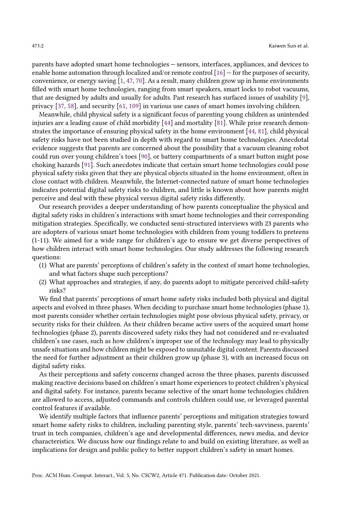parents have adopted smart home technologies — sensors, interfaces, appliances, and devices to enable home automation through localized and/or remote control [\[16\]](#page-27-1) — for the purposes of security, convenience, or energy saving [\[1,](#page-26-0) [47,](#page-29-0) [70\]](#page-30-0). As a result, many children grow up in home environments filled with smart home technologies, ranging from smart speakers, smart locks to robot vacuums, that are designed by adults and usually for adults. Past research has surfaced issues of usability [\[9\]](#page-27-2), privacy [\[37,](#page-28-0) [58\]](#page-29-1), and security [\[61,](#page-29-2) [109\]](#page-31-0) in various use cases of smart homes involving children.

Meanwhile, child physical safety is a significant focus of parenting young children as unintended injuries are a leading cause of child morbidity [\[44\]](#page-28-1) and mortality [\[81\]](#page-30-1). While prior research demonstrates the importance of ensuring physical safety in the home environment [\[44,](#page-28-1) [81\]](#page-30-1), child physical safety risks have not been studied in depth with regard to smart home technologies. Anecdotal evidence suggests that parents are concerned about the possibility that a vacuum cleaning robot could run over young children's toes [\[90\]](#page-31-1), or battery compartments of a smart button might pose choking hazards [\[91\]](#page-31-2). Such anecdotes indicate that certain smart home technologies could pose physical safety risks given that they are physical objects situated in the home environment, often in close contact with children. Meanwhile, the Internet-connected nature of smart home technologies indicates potential digital safety risks to children, and little is known about how parents might perceive and deal with these physical versus digital safety risks differently.

Our research provides a deeper understanding of how parents conceptualize the physical and digital safety risks in children's interactions with smart home technologies and their corresponding mitigation strategies. Specifically, we conducted semi-structured interviews with 23 parents who are adopters of various smart home technologies with children from young toddlers to preteens (1-11). We aimed for a wide range for children's age to ensure we get diverse perspectives of how children interact with smart home technologies. Our study addresses the following research questions:

- (1) What are parents' perceptions of children's safety in the context of smart home technologies, and what factors shape such perceptions?
- (2) What approaches and strategies, if any, do parents adopt to mitigate perceived child-safety risks?

We find that parents' perceptions of smart home safety risks included both physical and digital aspects and evolved in three phases. When deciding to purchase smart home technologies (phase 1), most parents consider whether certain technologies might pose obvious physical safety, privacy, or security risks for their children. As their children became active users of the acquired smart home technologies (phase 2), parents discovered safety risks they had not considered and re-evaluated children's use cases, such as how children's improper use of the technology may lead to physically unsafe situations and how children might be exposed to unsuitable digital content. Parents discussed the need for further adjustment as their children grow up (phase 3), with an increased focus on digital safety risks.

As their perceptions and safety concerns changed across the three phases, parents discussed making reactive decisions based on children's smart home experiences to protect children's physical and digital safety. For instance, parents became selective of the smart home technologies children are allowed to access, adjusted commands and controls children could use, or leveraged parental control features if available.

We identify multiple factors that influence parents' perceptions and mitigation strategies toward smart home safety risks to children, including parenting style, parents' tech-savviness, parents' trust in tech companies, children's age and developmental differences, news media, and device characteristics. We discuss how our findings relate to and build on existing literature, as well as implications for design and public policy to better support children's safety in smart homes.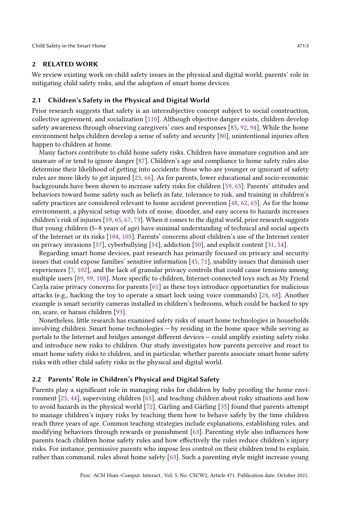#### 2 RELATED WORK

We review existing work on child safety issues in the physical and digital world, parents' role in mitigating child safety risks, and the adoption of smart home devices.

#### 2.1 Children's Safety in the Physical and Digital World

Prior research suggests that safety is an intersubjective concept subject to social construction, collective agreement, and socialization [\[110\]](#page-31-3). Although objective danger exists, children develop safety awareness through observing caregivers' cues and responses [\[83,](#page-30-2) [92,](#page-31-4) [94\]](#page-31-5). While the home environment helps children develop a sense of safety and security [\[80\]](#page-30-3), unintentional injuries often happen to children at home.

Many factors contribute to child home safety risks. Children have immature cognition and are unaware of or tend to ignore danger [\[87\]](#page-30-4). Children's age and compliance to home safety rules also determine their likelihood of getting into accidents: those who are younger or ignorant of safety rules are more likely to get injured [\[23,](#page-27-3) [66\]](#page-30-5). As for parents, lower educational and socio-economic backgrounds have been shown to increase safety risks for children [\[59,](#page-29-3) [65\]](#page-29-4). Parents' attitudes and behaviors toward home safety such as beliefs in fate, tolerance to risk, and training in children's safety practices are considered relevant to home accident prevention [\[48,](#page-29-5) [62,](#page-29-6) [63\]](#page-29-7). As for the home environment, a physical setup with lots of noise, disorder, and easy access to hazards increases children's risk of injuries [\[59,](#page-29-3) [65,](#page-29-4) [67,](#page-30-6) [73\]](#page-30-7). When it comes to the digital world, prior research suggests that young children (5–8 years of age) have minimal understanding of technical and social aspects of the Internet or its risks [\[104,](#page-31-6) [105\]](#page-31-7). Parents' concerns about children's use of the Internet center on privacy invasions [\[57\]](#page-29-8), cyberbullying [\[54\]](#page-29-9), addiction [\[50\]](#page-29-10), and explicit content [\[31,](#page-28-2) [54\]](#page-29-9).

Regarding smart home devices, past research has primarily focused on privacy and security issues that could expose families' sensitive information [\[45,](#page-28-3) [71\]](#page-30-8), usability issues that diminish user experiences [\[7,](#page-27-4) [102\]](#page-31-8), and the lack of granular privacy controls that could cause tensions among multiple users [\[89,](#page-31-9) [99,](#page-31-10) [108\]](#page-31-11). More specific to children, Internet-connected toys such as My Friend Cayla raise privacy concerns for parents [\[61\]](#page-29-2) as these toys introduce opportunities for malicious attacks (e.g., hacking the toy to operate a smart lock using voice commands) [\[24,](#page-27-5) [68\]](#page-30-9). Another example is smart security cameras installed in children's bedrooms, which could be hacked to spy on, scare, or harass children [\[93\]](#page-31-12).

Nonetheless, little research has examined safety risks of smart home technologies in households involving children. Smart home technologies — by residing in the home space while serving as portals to the Internet and bridges amongst different devices — could amplify existing safety risks and introduce new risks to children. Our study investigates how parents perceive and react to smart home safety risks to children, and in particular, whether parents associate smart home safety risks with other child safety risks in the physical and digital world.

#### 2.2 Parents' Role in Children's Physical and Digital Safety

Parents play a significant role in managing risks for children by baby proofing the home environment [\[25,](#page-27-6) [44\]](#page-28-1), supervising children [\[65\]](#page-29-4), and teaching children about risky situations and how to avoid hazards in the physical world [\[72\]](#page-30-10). Gärling and Gärling [\[35\]](#page-28-4) found that parents attempt to manage children's injury risks by teaching them how to behave safely by the time children reach three years of age. Common teaching strategies include explanations, establishing rules, and modifying behaviors through rewards or punishment [\[63\]](#page-29-7). Parenting style also influences how parents teach children home safety rules and how effectively the rules reduce children's injury risks. For instance, permissive parents who impose less control on their children tend to explain, rather than command, rules about home safety [\[63\]](#page-29-7). Such a parenting style might increase young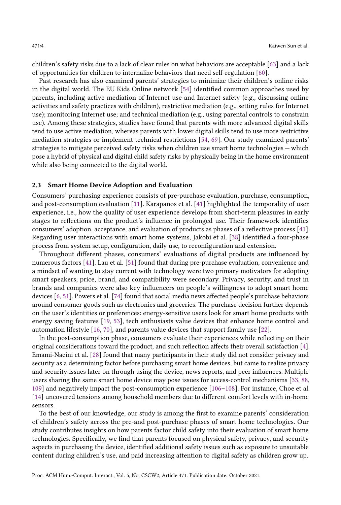children's safety risks due to a lack of clear rules on what behaviors are acceptable [\[63\]](#page-29-7) and a lack of opportunities for children to internalize behaviors that need self-regulation [\[60\]](#page-29-11).

Past research has also examined parents' strategies to minimize their children's online risks in the digital world. The EU Kids Online network [\[54\]](#page-29-9) identified common approaches used by parents, including active mediation of Internet use and Internet safety (e.g., discussing online activities and safety practices with children), restrictive mediation (e.g., setting rules for Internet use); monitoring Internet use; and technical mediation (e.g., using parental controls to constrain use). Among these strategies, studies have found that parents with more advanced digital skills tend to use active mediation, whereas parents with lower digital skills tend to use more restrictive mediation strategies or implement technical restrictions [\[54,](#page-29-9) [69\]](#page-30-11). Our study examined parents' strategies to mitigate perceived safety risks when children use smart home technologies — which pose a hybrid of physical and digital child safety risks by physically being in the home environment while also being connected to the digital world.

#### 2.3 Smart Home Device Adoption and Evaluation

Consumers' purchasing experience consists of pre-purchase evaluation, purchase, consumption, and post-consumption evaluation [\[11\]](#page-27-7). Karapanos et al. [\[41\]](#page-28-5) highlighted the temporality of user experience, i.e., how the quality of user experience develops from short-term pleasures in early stages to reflections on the product's influence in prolonged use. Their framework identifies consumers' adoption, acceptance, and evaluation of products as phases of a reflective process [\[41\]](#page-28-5). Regarding user interactions with smart home systems, Jakobi et al. [\[38\]](#page-28-6) identified a four-phase process from system setup, configuration, daily use, to reconfiguration and extension.

Throughout different phases, consumers' evaluations of digital products are influenced by numerous factors [\[41\]](#page-28-5). Lau et al. [\[51\]](#page-29-12) found that during pre-purchase evaluation, convenience and a mindset of wanting to stay current with technology were two primary motivators for adopting smart speakers; price, brand, and compatibility were secondary. Privacy, security, and trust in brands and companies were also key influencers on people's willingness to adopt smart home devices [\[6,](#page-27-8) [51\]](#page-29-12). Powers et al. [\[74\]](#page-30-12) found that social media news affected people's purchase behaviors around consumer goods such as electronics and groceries. The purchase decision further depends on the user's identities or preferences: energy-sensitive users look for smart home products with energy saving features [\[19,](#page-27-9) [53\]](#page-29-13), tech enthusiasts value devices that enhance home control and automation lifestyle [\[16,](#page-27-1) [70\]](#page-30-0), and parents value devices that support family use [\[22\]](#page-27-10).

In the post-consumption phase, consumers evaluate their experiences while reflecting on their original considerations toward the product, and such reflection affects their overall satisfaction [\[4\]](#page-27-11). Emami-Naeini et al. [\[28\]](#page-28-7) found that many participants in their study did not consider privacy and security as a determining factor before purchasing smart home devices, but came to realize privacy and security issues later on through using the device, news reports, and peer influences. Multiple users sharing the same smart home device may pose issues for access-control mechanisms [\[33,](#page-28-8) [88,](#page-30-13) [109\]](#page-31-0) and negatively impact the post-consumption experience [\[106–](#page-31-13)[108\]](#page-31-11). For instance, Choe et al. [\[14\]](#page-27-12) uncovered tensions among household members due to different comfort levels with in-home sensors.

To the best of our knowledge, our study is among the first to examine parents' consideration of children's safety across the pre-and post-purchase phases of smart home technologies. Our study contributes insights on how parents factor child safety into their evaluation of smart home technologies. Specifically, we find that parents focused on physical safety, privacy, and security aspects in purchasing the device, identified additional safety issues such as exposure to unsuitable content during children's use, and paid increasing attention to digital safety as children grow up.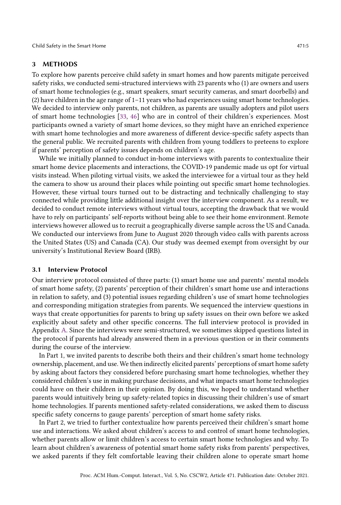Child Safety in the Smart Home 471:5

#### 3 METHODS

To explore how parents perceive child safety in smart homes and how parents mitigate perceived safety risks, we conducted semi-structured interviews with 23 parents who (1) are owners and users of smart home technologies (e.g., smart speakers, smart security cameras, and smart doorbells) and (2) have children in the age range of 1–11 years who had experiences using smart home technologies. We decided to interview only parents, not children, as parents are usually adopters and pilot users of smart home technologies [\[33,](#page-28-8) [46\]](#page-28-9) who are in control of their children's experiences. Most participants owned a variety of smart home devices, so they might have an enriched experience with smart home technologies and more awareness of different device-specific safety aspects than the general public. We recruited parents with children from young toddlers to preteens to explore if parents' perception of safety issues depends on children's age.

While we initially planned to conduct in-home interviews with parents to contextualize their smart home device placements and interactions, the COVID-19 pandemic made us opt for virtual visits instead. When piloting virtual visits, we asked the interviewee for a virtual tour as they held the camera to show us around their places while pointing out specific smart home technologies. However, these virtual tours turned out to be distracting and technically challenging to stay connected while providing little additional insight over the interview component. As a result, we decided to conduct remote interviews without virtual tours, accepting the drawback that we would have to rely on participants' self-reports without being able to see their home environment. Remote interviews however allowed us to recruit a geographically diverse sample across the US and Canada. We conducted our interviews from June to August 2020 through video calls with parents across the United States (US) and Canada (CA). Our study was deemed exempt from oversight by our university's Institutional Review Board (IRB).

#### 3.1 Interview Protocol

Our interview protocol consisted of three parts: (1) smart home use and parents' mental models of smart home safety, (2) parents' perception of their children's smart home use and interactions in relation to safety, and (3) potential issues regarding children's use of smart home technologies and corresponding mitigation strategies from parents. We sequenced the interview questions in ways that create opportunities for parents to bring up safety issues on their own before we asked explicitly about safety and other specific concerns. The full interview protocol is provided in Appendix [A.](#page-32-0) Since the interviews were semi-structured, we sometimes skipped questions listed in the protocol if parents had already answered them in a previous question or in their comments during the course of the interview.

In Part 1, we invited parents to describe both theirs and their children's smart home technology ownership, placement, and use. We then indirectly elicited parents' perceptions of smart home safety by asking about factors they considered before purchasing smart home technologies, whether they considered children's use in making purchase decisions, and what impacts smart home technologies could have on their children in their opinion. By doing this, we hoped to understand whether parents would intuitively bring up safety-related topics in discussing their children's use of smart home technologies. If parents mentioned safety-related considerations, we asked them to discuss specific safety concerns to gauge parents' perception of smart home safety risks.

In Part 2, we tried to further contextualize how parents perceived their children's smart home use and interactions. We asked about children's access to and control of smart home technologies, whether parents allow or limit children's access to certain smart home technologies and why. To learn about children's awareness of potential smart home safety risks from parents' perspectives, we asked parents if they felt comfortable leaving their children alone to operate smart home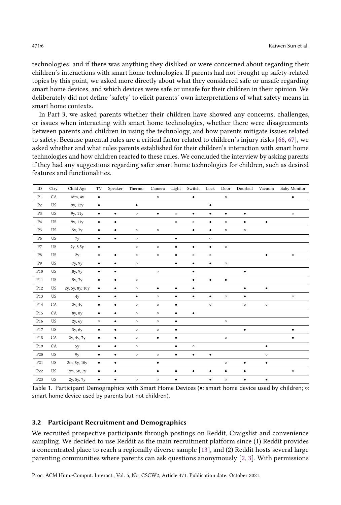technologies, and if there was anything they disliked or were concerned about regarding their children's interactions with smart home technologies. If parents had not brought up safety-related topics by this point, we asked more directly about what they considered safe or unsafe regarding smart home devices, and which devices were safe or unsafe for their children in their opinion. We deliberately did not define 'safety' to elicit parents' own interpretations of what safety means in smart home contexts.

In Part 3, we asked parents whether their children have showed any concerns, challenges, or issues when interacting with smart home technologies, whether there were disagreements between parents and children in using the technology, and how parents mitigate issues related to safety. Because parental rules are a critical factor related to children's injury risks [\[66,](#page-30-5) [67\]](#page-30-6), we asked whether and what rules parents established for their children's interaction with smart home technologies and how children reacted to these rules. We concluded the interview by asking parents if they had any suggestions regarding safer smart home technologies for children, such as desired features and functionalities.

<span id="page-5-0"></span>

| $\rm ID$        | Ctry.     | Child Age       | TV        | Speaker   | Thermo.   | Camera    | Light     | Switch    | Lock      | Door      | Doorbell  | Vacuum    | Baby Monitor |
|-----------------|-----------|-----------------|-----------|-----------|-----------|-----------|-----------|-----------|-----------|-----------|-----------|-----------|--------------|
| P <sub>1</sub>  | CA        | 18m, 4y         | $\bullet$ |           |           | $\circ$   |           | $\bullet$ |           | $\circ$   |           |           | $\bullet$    |
| P <sub>2</sub>  | <b>US</b> | 9y, 12y         | $\bullet$ |           | $\bullet$ |           |           |           | $\bullet$ |           |           |           |              |
| P <sub>3</sub>  | US        | 9y, 11y         | $\bullet$ | $\bullet$ | $\circ$   | $\bullet$ | $\circ$   | $\bullet$ | $\bullet$ | $\bullet$ | $\bullet$ |           | $\circ$      |
| P <sub>4</sub>  | <b>US</b> | 9y, 11y         | $\bullet$ | $\bullet$ |           |           | $\circ$   | $\circ$   | $\bullet$ | $\circ$   | $\bullet$ | $\bullet$ |              |
| P <sub>5</sub>  | US        | 5y, 7y          | $\bullet$ | $\bullet$ | $\circ$   | $\circ$   |           | $\bullet$ | $\bullet$ | $\circ$   | $\circ$   |           |              |
| P <sub>6</sub>  | US        | 7y              | $\bullet$ | $\bullet$ | $\circ$   |           | $\bullet$ |           | $\circ$   |           |           |           |              |
| P7              | US        | 7y, 8.5y        | $\bullet$ |           | $\circ$   | $\circ$   | $\bullet$ | $\bullet$ | $\bullet$ | $\circ$   |           |           |              |
| P8              | <b>US</b> | 2y              | $\circ$   | $\bullet$ | $\circ$   | $\circ$   | $\bullet$ | $\circ$   | $\circ$   |           |           | $\bullet$ | $\circ$      |
| P9              | <b>US</b> | 7y, 9y          | $\bullet$ | $\bullet$ | $\circ$   |           | $\bullet$ | $\bullet$ | $\bullet$ | $\circ$   |           |           |              |
| P <sub>10</sub> | US        | 8y, 9y          | $\bullet$ | $\bullet$ |           | $\circ$   |           | $\bullet$ |           |           | $\bullet$ |           |              |
| P <sub>11</sub> | <b>US</b> | 5y, 7y          | ٠         | $\bullet$ | $\circ$   |           |           | ٠         | ٠         | ٠         |           |           |              |
| P <sub>12</sub> | <b>US</b> | 2y, 5y, 8y, 10y | $\bullet$ | $\bullet$ | $\circ$   | $\bullet$ | $\bullet$ | ٠         |           |           | $\bullet$ | $\bullet$ |              |
| P <sub>13</sub> | <b>US</b> | 4y              | $\bullet$ | $\bullet$ | $\bullet$ | $\circ$   | $\bullet$ | $\bullet$ | $\bullet$ | $\circ$   | $\bullet$ |           | $\circ$      |
| P <sub>14</sub> | CA        | 2y, 4y          | $\bullet$ | $\bullet$ | $\circ$   | $\circ$   | $\bullet$ |           | $\circ$   |           | $\circ$   | $\circ$   |              |
| P <sub>15</sub> | CA        | 8y, 8y          | $\bullet$ | $\bullet$ | $\circ$   | $\circ$   | $\bullet$ | $\bullet$ |           |           |           |           |              |
| P <sub>16</sub> | <b>US</b> | 2y, 6y          | $\circ$   | $\bullet$ | $\circ$   | $\circ$   | $\bullet$ |           |           | $\circ$   |           |           |              |
| P <sub>17</sub> | US        | 3y, 6y          | $\bullet$ | $\bullet$ | $\circ$   | $\circ$   | $\bullet$ |           |           |           | $\bullet$ |           | $\bullet$    |
| P <sub>18</sub> | CA        | 2y, 4y, 7y      | $\bullet$ | $\bullet$ | $\circ$   | $\bullet$ | $\bullet$ |           |           | $\circ$   |           |           | ٠            |
| P <sub>19</sub> | CA        | 5y              | $\bullet$ | $\bullet$ | $\circ$   |           | $\bullet$ | $\circ$   |           |           |           | ٠         |              |
| P <sub>20</sub> | <b>US</b> | 9y              | $\bullet$ | $\bullet$ | $\circ$   | $\circ$   | ٠         | $\bullet$ | $\bullet$ |           |           | $\circ$   |              |
| P <sub>21</sub> | US        | 2m, 8y, 10y     | $\bullet$ | $\bullet$ |           | $\bullet$ |           |           |           | $\circ$   | $\bullet$ | $\bullet$ |              |
| P <sub>22</sub> | <b>US</b> | 7m, 5y, 7y      | $\bullet$ | $\bullet$ |           | $\bullet$ | $\bullet$ | $\bullet$ | $\bullet$ | $\bullet$ | $\bullet$ |           | $\circ$      |
| P <sub>23</sub> | <b>US</b> | 2y, 5y, 7y      | $\bullet$ | $\bullet$ | $\circ$   | $\circ$   | ٠         |           | ٠         | $\circ$   | $\bullet$ | ٠         |              |

Table 1. Participant Demographics with Smart Home Devices (•: smart home device used by children; ○: smart home device used by parents but not children).

#### 3.2 Participant Recruitment and Demographics

We recruited prospective participants through postings on Reddit, Craigslist and convenience sampling. We decided to use Reddit as the main recruitment platform since (1) Reddit provides a concentrated place to reach a regionally diverse sample [\[13\]](#page-27-13), and (2) Reddit hosts several large parenting communities where parents can ask questions anonymously [\[2,](#page-26-1) [3\]](#page-26-2). With permissions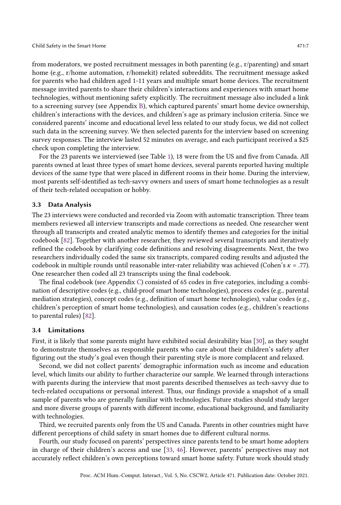from moderators, we posted recruitment messages in both parenting (e.g., r/parenting) and smart home (e.g., r/home automation, r/homekit) related subreddits. The recruitment message asked for parents who had children aged 1-11 years and multiple smart home devices. The recruitment message invited parents to share their children's interactions and experiences with smart home technologies, without mentioning safety explicitly. The recruitment message also included a link to a screening survey (see Appendix [B\)](#page-34-0), which captured parents' smart home device ownership, children's interactions with the devices, and children's age as primary inclusion criteria. Since we considered parents' income and educational level less related to our study focus, we did not collect such data in the screening survey. We then selected parents for the interview based on screening survey responses. The interview lasted 52 minutes on average, and each participant received a \$25 check upon completing the interview.

For the 23 parents we interviewed (see Table [1\)](#page-5-0), 18 were from the US and five from Canada. All parents owned at least three types of smart home devices, several parents reported having multiple devices of the same type that were placed in different rooms in their home. During the interview, most parents self-identified as tech-savvy owners and users of smart home technologies as a result of their tech-related occupation or hobby.

#### 3.3 Data Analysis

The 23 interviews were conducted and recorded via Zoom with automatic transcription. Three team members reviewed all interview transcripts and made corrections as needed. One researcher went through all transcripts and created analytic memos to identify themes and categories for the initial codebook [\[82\]](#page-30-14). Together with another researcher, they reviewed several transcripts and iteratively refined the codebook by clarifying code definitions and resolving disagreements. Next, the two researchers individually coded the same six transcripts, compared coding results and adjusted the codebook in multiple rounds until reasonable inter-rater reliability was achieved (Cohen's  $\kappa = .77$ ). One researcher then coded all 23 transcripts using the final codebook.

The final codebook (see Appendix [C\)](#page-35-0) consisted of 65 codes in five categories, including a combination of descriptive codes (e.g., child-proof smart home technologies), process codes (e.g., parental mediation strategies), concept codes (e.g., definition of smart home technologies), value codes (e.g., children's perception of smart home technologies), and causation codes (e.g., children's reactions to parental rules) [\[82\]](#page-30-14).

#### 3.4 Limitations

First, it is likely that some parents might have exhibited social desirability bias [\[30\]](#page-28-10), as they sought to demonstrate themselves as responsible parents who care about their children's safety after figuring out the study's goal even though their parenting style is more complacent and relaxed.

Second, we did not collect parents' demographic information such as income and education level, which limits our ability to further characterize our sample. We learned through interactions with parents during the interview that most parents described themselves as tech-savvy due to tech-related occupations or personal interest. Thus, our findings provide a snapshot of a small sample of parents who are generally familiar with technologies. Future studies should study larger and more diverse groups of parents with different income, educational background, and familiarity with technologies.

Third, we recruited parents only from the US and Canada. Parents in other countries might have different perceptions of child safety in smart homes due to different cultural norms.

Fourth, our study focused on parents' perspectives since parents tend to be smart home adopters in charge of their children's access and use [\[33,](#page-28-8) [46\]](#page-28-9). However, parents' perspectives may not accurately reflect children's own perceptions toward smart home safety. Future work should study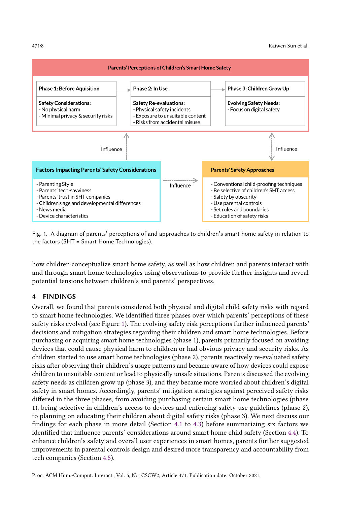<span id="page-7-0"></span>

Fig. 1. A diagram of parents' perceptions of and approaches to children's smart home safety in relation to the factors (SHT = Smart Home Technologies).

how children conceptualize smart home safety, as well as how children and parents interact with and through smart home technologies using observations to provide further insights and reveal potential tensions between children's and parents' perspectives.

#### 4 FINDINGS

Overall, we found that parents considered both physical and digital child safety risks with regard to smart home technologies. We identified three phases over which parents' perceptions of these safety risks evolved (see Figure [1\)](#page-7-0). The evolving safety risk perceptions further influenced parents' decisions and mitigation strategies regarding their children and smart home technologies. Before purchasing or acquiring smart home technologies (phase 1), parents primarily focused on avoiding devices that could cause physical harm to children or had obvious privacy and security risks. As children started to use smart home technologies (phase 2), parents reactively re-evaluated safety risks after observing their children's usage patterns and became aware of how devices could expose children to unsuitable content or lead to physically unsafe situations. Parents discussed the evolving safety needs as children grow up (phase 3), and they became more worried about children's digital safety in smart homes. Accordingly, parents' mitigation strategies against perceived safety risks differed in the three phases, from avoiding purchasing certain smart home technologies (phase 1), being selective in children's access to devices and enforcing safety use guidelines (phase 2), to planning on educating their children about digital safety risks (phase 3). We next discuss our findings for each phase in more detail (Section [4.1](#page-8-0) to [4.3\)](#page-15-0) before summarizing six factors we identified that influence parents' considerations around smart home child safety (Section [4.4\)](#page-17-0). To enhance children's safety and overall user experiences in smart homes, parents further suggested improvements in parental controls design and desired more transparency and accountability from tech companies (Section [4.5\)](#page-20-0).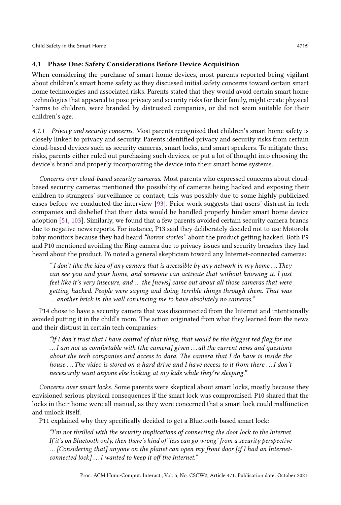# <span id="page-8-0"></span>4.1 Phase One: Safety Considerations Before Device Acquisition

When considering the purchase of smart home devices, most parents reported being vigilant about children's smart home safety as they discussed initial safety concerns toward certain smart home technologies and associated risks. Parents stated that they would avoid certain smart home technologies that appeared to pose privacy and security risks for their family, might create physical harms to children, were branded by distrusted companies, or did not seem suitable for their children's age.

4.1.1 Privacy and security concerns. Most parents recognized that children's smart home safety is closely linked to privacy and security. Parents identified privacy and security risks from certain cloud-based devices such as security cameras, smart locks, and smart speakers. To mitigate these risks, parents either ruled out purchasing such devices, or put a lot of thought into choosing the device's brand and properly incorporating the device into their smart home systems.

Concerns over cloud-based security cameras. Most parents who expressed concerns about cloudbased security cameras mentioned the possibility of cameras being hacked and exposing their children to strangers' surveillance or contact; this was possibly due to some highly publicized cases before we conducted the interview [\[93\]](#page-31-12). Prior work suggests that users' distrust in tech companies and disbelief that their data would be handled properly hinder smart home device adoption [\[51,](#page-29-12) [103\]](#page-31-14). Similarly, we found that a few parents avoided certain security camera brands due to negative news reports. For instance, P13 said they deliberately decided not to use Motorola baby monitors because they had heard "horror stories" about the product getting hacked. Both P9 and P10 mentioned avoiding the Ring camera due to privacy issues and security breaches they had heard about the product. P6 noted a general skepticism toward any Internet-connected cameras:

"I don't like the idea of any camera that is accessible by any network in my home  $\dots$  They can see you and your home, and someone can activate that without knowing it. I just feel like it's very insecure, and . . . the [news] came out about all those cameras that were getting hacked. People were saying and doing terrible things through them. That was . . . another brick in the wall convincing me to have absolutely no cameras."

P14 chose to have a security camera that was disconnected from the Internet and intentionally avoided putting it in the child's room. The action originated from what they learned from the news and their distrust in certain tech companies:

"If I don't trust that I have control of that thing, that would be the biggest red flag for me ...I am not as comfortable with [the camera] given ... all the current news and questions about the tech companies and access to data. The camera that I do have is inside the house ... The video is stored on a hard drive and I have access to it from there ... I don't necessarily want anyone else looking at my kids while they're sleeping."

Concerns over smart locks. Some parents were skeptical about smart locks, mostly because they envisioned serious physical consequences if the smart lock was compromised. P10 shared that the locks in their home were all manual, as they were concerned that a smart lock could malfunction and unlock itself.

P11 explained why they specifically decided to get a Bluetooth-based smart lock:

"I'm not thrilled with the security implications of connecting the door lock to the Internet. If it's on Bluetooth only, then there's kind of 'less can go wrong' from a security perspective ... [Considering that] anyone on the planet can open my front door [if I had an Internetconnected lock] . . .I wanted to keep it off the Internet."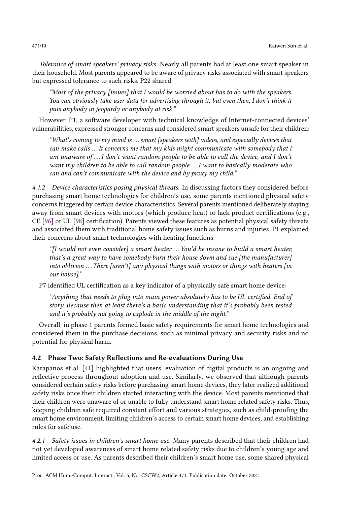Tolerance of smart speakers' privacy risks. Nearly all parents had at least one smart speaker in their household. Most parents appeared to be aware of privacy risks associated with smart speakers but expressed tolerance to such risks. P22 shared:

"Most of the privacy [issues] that I would be worried about has to do with the speakers. You can obviously take user data for advertising through it, but even then, I don't think it puts anybody in jeopardy or anybody at risk."

However, P1, a software developer with technical knowledge of Internet-connected devices' vulnerabilities, expressed stronger concerns and considered smart speakers unsafe for their children:

"What's coming to my mind is . . . smart [speakers with] videos, and especially devices that can make calls ... It concerns me that my kids might communicate with somebody that I am unaware of . . .I don't want random people to be able to call the device, and I don't want my children to be able to call random people ... I want to basically moderate who can and can't communicate with the device and by proxy my child."

4.1.2 Device characteristics posing physical threats. In discussing factors they considered before purchasing smart home technologies for children's use, some parents mentioned physical safety concerns triggered by certain device characteristics. Several parents mentioned deliberately staying away from smart devices with motors (which produce heat) or lack product certifications (e.g., CE [\[96\]](#page-31-15) or UL [\[98\]](#page-31-16) certification). Parents viewed these features as potential physical safety threats and associated them with traditional home safety issues such as burns and injuries. P1 explained their concerns about smart technologies with heating functions:

"[I would not even consider] a smart heater . . . You'd be insane to build a smart heater, that's a great way to have somebody burn their house down and sue [the manufacturer] into oblivion ... There [aren't] any physical things with motors or things with heaters [in our house]."

P7 identified UL certification as a key indicator of a physically safe smart home device:

"Anything that needs to plug into main power absolutely has to be UL certified. End of story. Because then at least there's a basic understanding that it's probably been tested and it's probably not going to explode in the middle of the night."

Overall, in phase 1 parents formed basic safety requirements for smart home technologies and considered them in the purchase decisions, such as minimal privacy and security risks and no potential for physical harm.

# 4.2 Phase Two: Safety Reflections and Re-evaluations During Use

Karapanos et al. [\[41\]](#page-28-5) highlighted that users' evaluation of digital products is an ongoing and reflective process throughout adoption and use. Similarly, we observed that although parents considered certain safety risks before purchasing smart home devices, they later realized additional safety risks once their children started interacting with the device. Most parents mentioned that their children were unaware of or unable to fully understand smart home related safety risks. Thus, keeping children safe required constant effort and various strategies, such as child-proofing the smart home environment, limiting children's access to certain smart home devices, and establishing rules for safe use.

4.2.1 Safety issues in children's smart home use. Many parents described that their children had not yet developed awareness of smart home related safety risks due to children's young age and limited access or use. As parents described their children's smart home use, some shared physical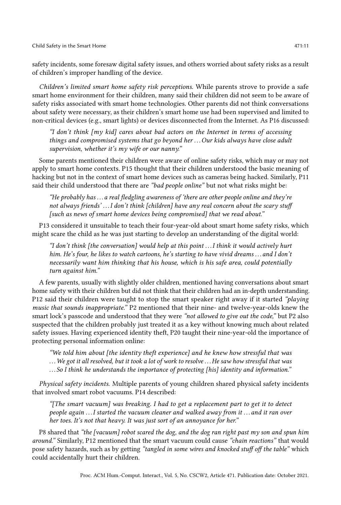safety incidents, some foresaw digital safety issues, and others worried about safety risks as a result of children's improper handling of the device.

Children's limited smart home safety risk perceptions. While parents strove to provide a safe smart home environment for their children, many said their children did not seem to be aware of safety risks associated with smart home technologies. Other parents did not think conversations about safety were necessary, as their children's smart home use had been supervised and limited to non-critical devices (e.g., smart lights) or devices disconnected from the Internet. As P16 discussed:

"I don't think [my kid] cares about bad actors on the Internet in terms of accessing things and compromised systems that go beyond her ... Our kids always have close adult supervision, whether it's my wife or our nanny."

Some parents mentioned their children were aware of online safety risks, which may or may not apply to smart home contexts. P15 thought that their children understood the basic meaning of hacking but not in the context of smart home devices such as cameras being hacked. Similarly, P11 said their child understood that there are "bad people online" but not what risks might be:

"He probably has  $\dots$  a real fledgling awareness of 'there are other people online and they're not always friends'...I don't think [children] have any real concern about the scary stuff [such as news of smart home devices being compromised] that we read about."

P13 considered it unsuitable to teach their four-year-old about smart home safety risks, which might scare the child as he was just starting to develop an understanding of the digital world:

"I don't think [the conversation] would help at this point . . .I think it would actively hurt him. He's four, he likes to watch cartoons, he's starting to have vivid dreams ... and I don't necessarily want him thinking that his house, which is his safe area, could potentially turn against him."

A few parents, usually with slightly older children, mentioned having conversations about smart home safety with their children but did not think that their children had an in-depth understanding. P12 said their children were taught to stop the smart speaker right away if it started "playing music that sounds inappropriate." P2 mentioned that their nine- and twelve-year-olds knew the smart lock's passcode and understood that they were "not allowed to give out the code," but P2 also suspected that the children probably just treated it as a key without knowing much about related safety issues. Having experienced identity theft, P20 taught their nine-year-old the importance of protecting personal information online:

"We told him about [the identity theft experience] and he knew how stressful that was . . .We got it all resolved, but it took a lot of work to resolve . . .He saw how stressful that was . . . So I think he understands the importance of protecting [his] identity and information."

Physical safety incidents. Multiple parents of young children shared physical safety incidents that involved smart robot vacuums. P14 described:

"[The smart vacuum] was breaking. I had to get a replacement part to get it to detect people again . . .I started the vacuum cleaner and walked away from it . . . and it ran over her toes. It's not that heavy. It was just sort of an annoyance for her."

P8 shared that "the [vacuum] robot scared the dog, and the dog ran right past my son and spun him around." Similarly, P12 mentioned that the smart vacuum could cause "chain reactions" that would pose safety hazards, such as by getting "tangled in some wires and knocked stuff off the table" which could accidentally hurt their children.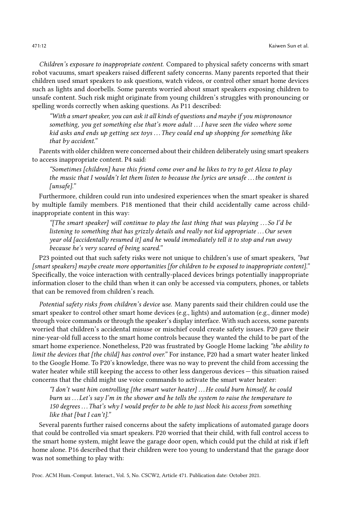Children's exposure to inappropriate content. Compared to physical safety concerns with smart robot vacuums, smart speakers raised different safety concerns. Many parents reported that their children used smart speakers to ask questions, watch videos, or control other smart home devices such as lights and doorbells. Some parents worried about smart speakers exposing children to unsafe content. Such risk might originate from young children's struggles with pronouncing or spelling words correctly when asking questions. As P11 described:

"With a smart speaker, you can ask it all kinds of questions and maybe if you mispronounce something, you get something else that's more adult . . .I have seen the video where some kid asks and ends up getting sex toys . . . They could end up shopping for something like that by accident."

Parents with older children were concerned about their children deliberately using smart speakers to access inappropriate content. P4 said:

"Sometimes [children] have this friend come over and he likes to try to get Alexa to play the music that I wouldn't let them listen to because the lyrics are unsafe . . . the content is [unsafe]."

Furthermore, children could run into undesired experiences when the smart speaker is shared by multiple family members. P18 mentioned that their child accidentally came across childinappropriate content in this way:

"[The smart speaker] will continue to play the last thing that was playing . . . So I'd be listening to something that has grizzly details and really not kid appropriate  $\ldots$  Our seven year old [accidentally resumed it] and he would immediately tell it to stop and run away because he's very scared of being scared."

P23 pointed out that such safety risks were not unique to children's use of smart speakers, "but [smart speakers] maybe create more opportunities [for children to be exposed to inappropriate content]." Specifically, the voice interaction with centrally-placed devices brings potentially inappropriate information closer to the child than when it can only be accessed via computers, phones, or tablets that can be removed from children's reach.

Potential safety risks from children's device use. Many parents said their children could use the smart speaker to control other smart home devices (e.g., lights) and automation (e.g., dinner mode) through voice commands or through the speaker's display interface. With such access, some parents worried that children's accidental misuse or mischief could create safety issues. P20 gave their nine-year-old full access to the smart home controls because they wanted the child to be part of the smart home experience. Nonetheless, P20 was frustrated by Google Home lacking "the ability to limit the devices that [the child] has control over." For instance, P20 had a smart water heater linked to the Google Home. To P20's knowledge, there was no way to prevent the child from accessing the water heater while still keeping the access to other less dangerous devices — this situation raised concerns that the child might use voice commands to activate the smart water heater:

"I don't want him controlling [the smart water heater] . . .He could burn himself, he could burn us  $\dots$  Let's say I'm in the shower and he tells the system to raise the temperature to 150 degrees ... That's why I would prefer to be able to just block his access from something like that [but I can't]."

Several parents further raised concerns about the safety implications of automated garage doors that could be controlled via smart speakers. P20 worried that their child, with full control access to the smart home system, might leave the garage door open, which could put the child at risk if left home alone. P16 described that their children were too young to understand that the garage door was not something to play with: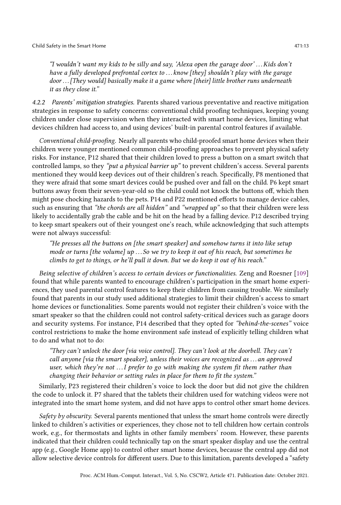"I wouldn't want my kids to be silly and say, 'Alexa open the garage door' . . .Kids don't have a fully developed prefrontal cortex to ... know [they] shouldn't play with the garage door ... [They would] basically make it a game where [their] little brother runs underneath it as they close it."

4.2.2 Parents' mitigation strategies. Parents shared various preventative and reactive mitigation strategies in response to safety concerns: conventional child proofing techniques, keeping young children under close supervision when they interacted with smart home devices, limiting what devices children had access to, and using devices' built-in parental control features if available.

Conventional child-proofing. Nearly all parents who child-proofed smart home devices when their children were younger mentioned common child-proofing approaches to prevent physical safety risks. For instance, P12 shared that their children loved to press a button on a smart switch that controlled lamps, so they "*put a physical barrier up*" to prevent children's access. Several parents mentioned they would keep devices out of their children's reach. Specifically, P8 mentioned that they were afraid that some smart devices could be pushed over and fall on the child. P6 kept smart buttons away from their seven-year-old so the child could not knock the buttons off, which then might pose chocking hazards to the pets. P14 and P22 mentioned efforts to manage device cables, such as ensuring that "the chords are all hidden" and "wrapped  $up$ " so that their children were less likely to accidentally grab the cable and be hit on the head by a falling device. P12 described trying to keep smart speakers out of their youngest one's reach, while acknowledging that such attempts were not always successful:

"He presses all the buttons on [the smart speaker] and somehow turns it into like setup mode or turns [the volume] up ... So we try to keep it out of his reach, but sometimes he climbs to get to things, or he'll pull it down. But we do keep it out of his reach."

Being selective of children's access to certain devices or functionalities. Zeng and Roesner [\[109\]](#page-31-0) found that while parents wanted to encourage children's participation in the smart home experiences, they used parental control features to keep their children from causing trouble. We similarly found that parents in our study used additional strategies to limit their children's access to smart home devices or functionalities. Some parents would not register their children's voice with the smart speaker so that the children could not control safety-critical devices such as garage doors and security systems. For instance, P14 described that they opted for "behind-the-scenes" voice control restrictions to make the home environment safe instead of explicitly telling children what to do and what not to do:

"They can't unlock the door [via voice control]. They can't look at the doorbell. They can't call anyone [via the smart speaker], unless their voices are recognized as . . . an approved user, which they're not  $\ldots I$  prefer to go with making the system fit them rather than changing their behavior or setting rules in place for them to fit the system."

Similarly, P23 registered their children's voice to lock the door but did not give the children the code to unlock it. P7 shared that the tablets their children used for watching videos were not integrated into the smart home system, and did not have apps to control other smart home devices.

Safety by obscurity. Several parents mentioned that unless the smart home controls were directly linked to children's activities or experiences, they chose not to tell children how certain controls work, e.g., for thermostats and lights in other family members' room. However, these parents indicated that their children could technically tap on the smart speaker display and use the central app (e.g., Google Home app) to control other smart home devices, because the central app did not allow selective device controls for different users. Due to this limitation, parents developed a "safety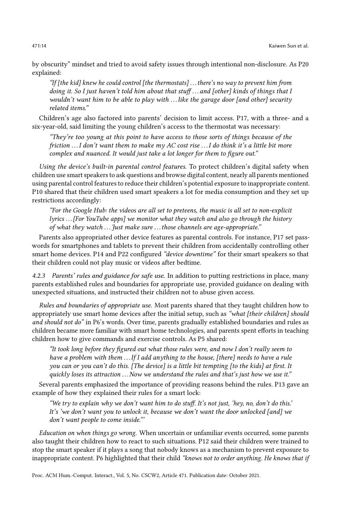by obscurity" mindset and tried to avoid safety issues through intentional non-disclosure. As P20 explained:

"If [the kid] knew he could control [the thermostats]  $\dots$  there's no way to prevent him from doing it. So I just haven't told him about that stuff... and [other] kinds of things that I wouldn't want him to be able to play with ... like the garage door [and other] security related items."

Children's age also factored into parents' decision to limit access. P17, with a three- and a six-year-old, said limiting the young children's access to the thermostat was necessary:

"They're too young at this point to have access to those sorts of things because of the friction . . .I don't want them to make my AC cost rise . . .I do think it's a little bit more complex and nuanced. It would just take a lot longer for them to figure out."

Using the device's built-in parental control features. To protect children's digital safety when children use smart speakers to ask questions and browse digital content, nearly all parents mentioned using parental control features to reduce their children's potential exposure to inappropriate content. P10 shared that their children used smart speakers a lot for media consumption and they set up restrictions accordingly:

"For the Google Hub: the videos are all set to preteens, the music is all set to non-explicit lyrics . . . [For YouTube apps] we monitor what they watch and also go through the history of what they watch ... Just make sure ... those channels are age-appropriate."

Parents also appropriated other device features as parental controls. For instance, P17 set passwords for smartphones and tablets to prevent their children from accidentally controlling other smart home devices. P14 and P22 configured "device downtime" for their smart speakers so that their children could not play music or videos after bedtime.

4.2.3 Parents' rules and guidance for safe use. In addition to putting restrictions in place, many parents established rules and boundaries for appropriate use, provided guidance on dealing with unexpected situations, and instructed their children not to abuse given access.

Rules and boundaries of appropriate use. Most parents shared that they taught children how to appropriately use smart home devices after the initial setup, such as "what [their children] should and should not do" in P6's words. Over time, parents gradually established boundaries and rules as children became more familiar with smart home technologies, and parents spent efforts in teaching children how to give commands and exercise controls. As P5 shared:

"It took long before they figured out what those rules were, and now I don't really seem to have a problem with them ... If I add anything to the house, [there] needs to have a rule you can or you can't do this. [The device] is a little bit tempting [to the kids] at first. It quickly loses its attraction ... Now we understand the rules and that's just how we use it."

Several parents emphasized the importance of providing reasons behind the rules. P13 gave an example of how they explained their rules for a smart lock:

"We try to explain why we don't want him to do stuff. It's not just, 'hey, no, don't do this.' It's 'we don't want you to unlock it, because we don't want the door unlocked [and] we don't want people to come inside."'

Education on when things go wrong. When uncertain or unfamiliar events occurred, some parents also taught their children how to react to such situations. P12 said their children were trained to stop the smart speaker if it plays a song that nobody knows as a mechanism to prevent exposure to inappropriate content. P6 highlighted that their child "knows not to order anything. He knows that if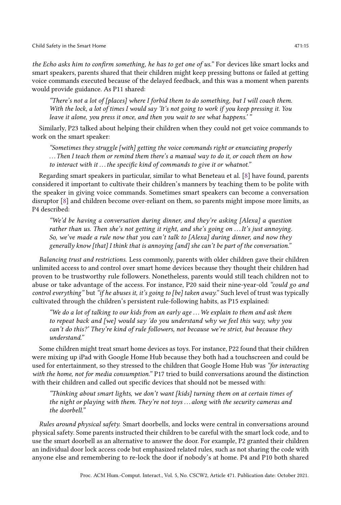the Echo asks him to confirm something, he has to get one of us." For devices like smart locks and smart speakers, parents shared that their children might keep pressing buttons or failed at getting voice commands executed because of the delayed feedback, and this was a moment when parents would provide guidance. As P11 shared:

"There's not a lot of  $[places]$  where I forbid them to do something, but I will coach them. With the lock, a lot of times I would say 'It's not going to work if you keep pressing it. You leave it alone, you press it once, and then you wait to see what happens.'"

Similarly, P23 talked about helping their children when they could not get voice commands to work on the smart speaker:

"Sometimes they struggle [with] getting the voice commands right or enunciating properly . . . Then I teach them or remind them there's a manual way to do it, or coach them on how to interact with it ... the specific kind of commands to give it or whatnot."

Regarding smart speakers in particular, similar to what Beneteau et al. [\[8\]](#page-27-14) have found, parents considered it important to cultivate their children's manners by teaching them to be polite with the speaker in giving voice commands. Sometimes smart speakers can become a conversation disruptor [\[8\]](#page-27-14) and children become over-reliant on them, so parents might impose more limits, as P4 described:

"We'd be having a conversation during dinner, and they're asking [Alexa] a question rather than us. Then she's not getting it right, and she's going on ... It's just annoying. So, we've made a rule now that you can't talk to [Alexa] during dinner, and now they generally know [that] I think that is annoying [and] she can't be part of the conversation."

Balancing trust and restrictions. Less commonly, parents with older children gave their children unlimited access to and control over smart home devices because they thought their children had proven to be trustworthy rule followers. Nonetheless, parents would still teach children not to abuse or take advantage of the access. For instance, P20 said their nine-year-old "could go and control everything" but "if he abuses it, it's going to [be] taken away." Such level of trust was typically cultivated through the children's persistent rule-following habits, as P15 explained:

"We do a lot of talking to our kids from an early age . . .We explain to them and ask them to repeat back and [we] would say 'do you understand why we feel this way, why you can't do this?' They're kind of rule followers, not because we're strict, but because they understand."

Some children might treat smart home devices as toys. For instance, P22 found that their children were mixing up iPad with Google Home Hub because they both had a touchscreen and could be used for entertainment, so they stressed to the children that Google Home Hub was "for interacting with the home, not for media consumption." P17 tried to build conversations around the distinction with their children and called out specific devices that should not be messed with:

"Thinking about smart lights, we don't want [kids] turning them on at certain times of the night or playing with them. They're not toys . . . along with the security cameras and the doorbell."

Rules around physical safety. Smart doorbells, and locks were central in conversations around physical safety. Some parents instructed their children to be careful with the smart lock code, and to use the smart doorbell as an alternative to answer the door. For example, P2 granted their children an individual door lock access code but emphasized related rules, such as not sharing the code with anyone else and remembering to re-lock the door if nobody's at home. P4 and P10 both shared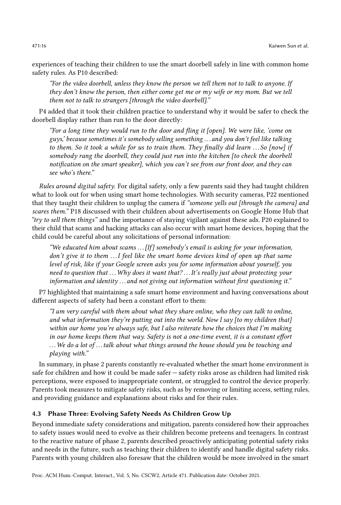experiences of teaching their children to use the smart doorbell safely in line with common home safety rules. As P10 described:

"For the video doorbell, unless they know the person we tell them not to talk to anyone. If they don't know the person, then either come get me or my wife or my mom. But we tell them not to talk to strangers [through the video doorbell]."

P4 added that it took their children practice to understand why it would be safer to check the doorbell display rather than run to the door directly:

"For a long time they would run to the door and fling it [open]. We were like, 'come on guys,' because sometimes it's somebody selling something . . . and you don't feel like talking to them. So it took a while for us to train them. They finally did learn ...So [now] if somebody rang the doorbell, they could just run into the kitchen [to check the doorbell notification on the smart speaker], which you can't see from our front door, and they can see who's there."

Rules around digital safety. For digital safety, only a few parents said they had taught children what to look out for when using smart home technologies. With security cameras, P22 mentioned that they taught their children to unplug the camera if "someone yells out [through the camera] and scares them." P18 discussed with their children about advertisements on Google Home Hub that "try to sell them things" and the importance of staying vigilant against these ads. P20 explained to their child that scams and hacking attacks can also occur with smart home devices, hoping that the child could be careful about any solicitations of personal information:

"We educated him about scams  $\ldots$  [If] somebody's email is asking for your information, don't give it to them  $\dots$  I feel like the smart home devices kind of open up that same level of risk, like if your Google screen asks you for some information about yourself, you need to question that  $\dots$  Why does it want that?  $\dots$  It's really just about protecting your information and identity . . . and not giving out information without first questioning it."

P7 highlighted that maintaining a safe smart home environment and having conversations about different aspects of safety had been a constant effort to them:

"I am very careful with them about what they share online, who they can talk to online, and what information they're putting out into the world. Now I say [to my children that] within our home you're always safe, but I also reiterate how the choices that I'm making in our home keeps them that way. Safety is not a one-time event, it is a constant effort ... We do a lot of...talk about what things around the house should you be touching and playing with."

In summary, in phase 2 parents constantly re-evaluated whether the smart home environment is safe for children and how it could be made safer — safety risks arose as children had limited risk perceptions, were exposed to inappropriate content, or struggled to control the device properly. Parents took measures to mitigate safety risks, such as by removing or limiting access, setting rules, and providing guidance and explanations about risks and for their rules.

#### <span id="page-15-0"></span>4.3 Phase Three: Evolving Safety Needs As Children Grow Up

Beyond immediate safety considerations and mitigation, parents considered how their approaches to safety issues would need to evolve as their children become preteens and teenagers. In contrast to the reactive nature of phase 2, parents described proactively anticipating potential safety risks and needs in the future, such as teaching their children to identify and handle digital safety risks. Parents with young children also foresaw that the children would be more involved in the smart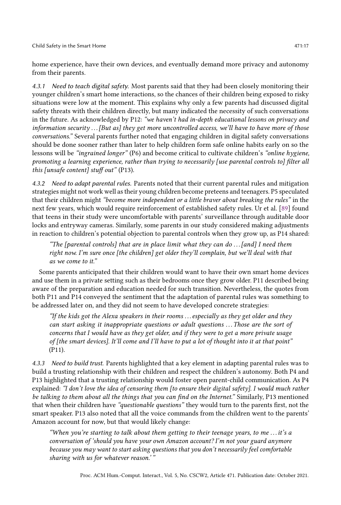home experience, have their own devices, and eventually demand more privacy and autonomy from their parents.

4.3.1 Need to teach digital safety. Most parents said that they had been closely monitoring their younger children's smart home interactions, so the chances of their children being exposed to risky situations were low at the moment. This explains why only a few parents had discussed digital safety threats with their children directly, but many indicated the necessity of such conversations in the future. As acknowledged by P12: "we haven't had in-depth educational lessons on privacy and information security  $\ldots$  [But as] they get more uncontrolled access, we'll have to have more of those conversations." Several parents further noted that engaging children in digital safety conversations should be done sooner rather than later to help children form safe online habits early on so the lessons will be "ingrained longer" (P6) and become critical to cultivate children's "online hygiene, promoting a learning experience, rather than trying to necessarily [use parental controls to] filter all this [unsafe content] stuff out" (P13).

4.3.2 Need to adapt parental rules. Parents noted that their current parental rules and mitigation strategies might not work well as their young children become preteens and teenagers. P5 speculated that their children might "become more independent or a little braver about breaking the rules" in the next few years, which would require reinforcement of established safety rules. Ur et al. [\[89\]](#page-31-9) found that teens in their study were uncomfortable with parents' surveillance through auditable door locks and entryway cameras. Similarly, some parents in our study considered making adjustments in reaction to children's potential objection to parental controls when they grow up, as P14 shared:

"The [parental controls] that are in place limit what they can do ... [and] I need them right now. I'm sure once [the children] get older they'll complain, but we'll deal with that as we come to it."

Some parents anticipated that their children would want to have their own smart home devices and use them in a private setting such as their bedrooms once they grow older. P11 described being aware of the preparation and education needed for such transition. Nevertheless, the quotes from both P11 and P14 conveyed the sentiment that the adaptation of parental rules was something to be addressed later on, and they did not seem to have developed concrete strategies:

"If the kids got the Alexa speakers in their rooms... especially as they get older and they can start asking it inappropriate questions or adult questions ... Those are the sort of concerns that I would have as they get older, and if they were to get a more private usage of [the smart devices]. It'll come and I'll have to put a lot of thought into it at that point" (P11).

4.3.3 Need to build trust. Parents highlighted that a key element in adapting parental rules was to build a trusting relationship with their children and respect the children's autonomy. Both P4 and P13 highlighted that a trusting relationship would foster open parent-child communication. As P4 explained: "I don't love the idea of censoring them [to ensure their digital safety]. I would much rather be talking to them about all the things that you can find on the Internet." Similarly, P13 mentioned that when their children have "questionable questions" they would turn to the parents first, not the smart speaker. P13 also noted that all the voice commands from the children went to the parents' Amazon account for now, but that would likely change:

"When you're starting to talk about them getting to their teenage years, to me . . .it's a conversation of 'should you have your own Amazon account? I'm not your guard anymore because you may want to start asking questions that you don't necessarily feel comfortable sharing with us for whatever reason.' "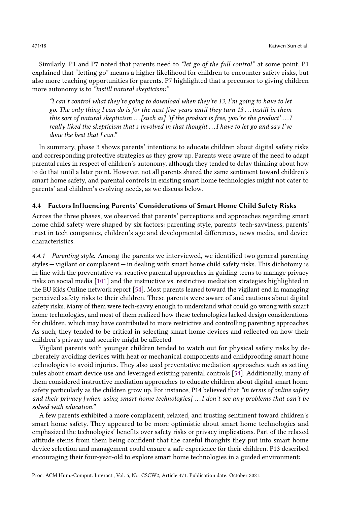Similarly, P1 and P7 noted that parents need to "let go of the full control" at some point. P1 explained that "letting go" means a higher likelihood for children to encounter safety risks, but also more teaching opportunities for parents. P7 highlighted that a precursor to giving children more autonomy is to "instill natural skepticism:"

"I can't control what they're going to download when they're 13, I'm going to have to let go. The only thing I can do is for the next five years until they turn 13 . . .instill in them this sort of natural skepticism  $\ldots$  [such as] 'if the product is free, you're the product'  $\ldots$  I really liked the skepticism that's involved in that thought . . .I have to let go and say I've done the best that I can."

In summary, phase 3 shows parents' intentions to educate children about digital safety risks and corresponding protective strategies as they grow up. Parents were aware of the need to adapt parental rules in respect of children's autonomy, although they tended to delay thinking about how to do that until a later point. However, not all parents shared the same sentiment toward children's smart home safety, and parental controls in existing smart home technologies might not cater to parents' and children's evolving needs, as we discuss below.

#### <span id="page-17-0"></span>4.4 Factors Influencing Parents' Considerations of Smart Home Child Safety Risks

Across the three phases, we observed that parents' perceptions and approaches regarding smart home child safety were shaped by six factors: parenting style, parents' tech-savviness, parents' trust in tech companies, children's age and developmental differences, news media, and device characteristics.

4.4.1 Parenting style. Among the parents we interviewed, we identified two general parenting styles — vigilant or complacent — in dealing with smart home child safety risks. This dichotomy is in line with the preventative vs. reactive parental approaches in guiding teens to manage privacy risks on social media [\[101\]](#page-31-17) and the instructive vs. restrictive mediation strategies highlighted in the EU Kids Online network report [\[54\]](#page-29-9). Most parents leaned toward the vigilant end in managing perceived safety risks to their children. These parents were aware of and cautious about digital safety risks. Many of them were tech-savvy enough to understand what could go wrong with smart home technologies, and most of them realized how these technologies lacked design considerations for children, which may have contributed to more restrictive and controlling parenting approaches. As such, they tended to be critical in selecting smart home devices and reflected on how their children's privacy and security might be affected.

Vigilant parents with younger children tended to watch out for physical safety risks by deliberately avoiding devices with heat or mechanical components and childproofing smart home technologies to avoid injuries. They also used preventative mediation approaches such as setting rules about smart device use and leveraged existing parental controls [\[54\]](#page-29-9). Additionally, many of them considered instructive mediation approaches to educate children about digital smart home safety particularly as the children grow up. For instance, P14 believed that "in terms of online safety and their privacy [when using smart home technologies] . . .I don't see any problems that can't be solved with education."

A few parents exhibited a more complacent, relaxed, and trusting sentiment toward children's smart home safety. They appeared to be more optimistic about smart home technologies and emphasized the technologies' benefits over safety risks or privacy implications. Part of the relaxed attitude stems from them being confident that the careful thoughts they put into smart home device selection and management could ensure a safe experience for their children. P13 described encouraging their four-year-old to explore smart home technologies in a guided environment: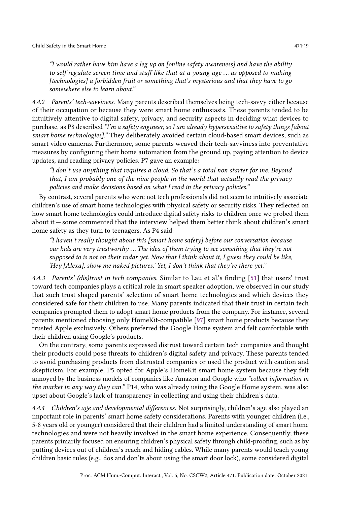"I would rather have him have a leg up on [online safety awareness] and have the ability to self regulate screen time and stuff like that at a young age  $\ldots$  as opposed to making [technologies] a forbidden fruit or something that's mysterious and that they have to go somewhere else to learn about."

4.4.2 Parents' tech-savviness. Many parents described themselves being tech-savvy either because of their occupation or because they were smart home enthusiasts. These parents tended to be intuitively attentive to digital safety, privacy, and security aspects in deciding what devices to purchase, as P8 described "I'm a safety engineer, so I am already hypersensitive to safety things [about smart home technologies]." They deliberately avoided certain cloud-based smart devices, such as smart video cameras. Furthermore, some parents weaved their tech-savviness into preventative measures by configuring their home automation from the ground up, paying attention to device updates, and reading privacy policies. P7 gave an example:

"I don't use anything that requires a cloud. So that's a total non starter for me. Beyond that, I am probably one of the nine people in the world that actually read the privacy policies and make decisions based on what I read in the privacy policies."

By contrast, several parents who were not tech professionals did not seem to intuitively associate children's use of smart home technologies with physical safety or security risks. They reflected on how smart home technologies could introduce digital safety risks to children once we probed them about it — some commented that the interview helped them better think about children's smart home safety as they turn to teenagers. As P4 said:

"I haven't really thought about this [smart home safety] before our conversation because our kids are very trustworthy  $\dots$  The idea of them trying to see something that they're not supposed to is not on their radar yet. Now that I think about it, I guess they could be like, 'Hey [Alexa], show me naked pictures.' Yet, I don't think that they're there yet."

4.4.3 Parents' (dis)trust in tech companies. Similar to Lau et al.'s finding [\[51\]](#page-29-12) that users' trust toward tech companies plays a critical role in smart speaker adoption, we observed in our study that such trust shaped parents' selection of smart home technologies and which devices they considered safe for their children to use. Many parents indicated that their trust in certain tech companies prompted them to adopt smart home products from the company. For instance, several parents mentioned choosing only HomeKit-compatible [\[97\]](#page-31-18) smart home products because they trusted Apple exclusively. Others preferred the Google Home system and felt comfortable with their children using Google's products.

On the contrary, some parents expressed distrust toward certain tech companies and thought their products could pose threats to children's digital safety and privacy. These parents tended to avoid purchasing products from distrusted companies or used the product with caution and skepticism. For example, P5 opted for Apple's HomeKit smart home system because they felt annoyed by the business models of companies like Amazon and Google who "collect information in the market in any way they can." P14, who was already using the Google Home system, was also upset about Google's lack of transparency in collecting and using their children's data.

4.4.4 Children's age and developmental differences. Not surprisingly, children's age also played an important role in parents' smart home safety considerations. Parents with younger children (i.e., 5-8 years old or younger) considered that their children had a limited understanding of smart home technologies and were not heavily involved in the smart home experience. Consequently, these parents primarily focused on ensuring children's physical safety through child-proofing, such as by putting devices out of children's reach and hiding cables. While many parents would teach young children basic rules (e.g., dos and don'ts about using the smart door lock), some considered digital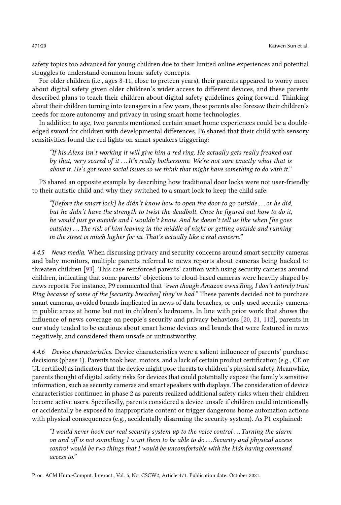safety topics too advanced for young children due to their limited online experiences and potential struggles to understand common home safety concepts.

For older children (i.e., ages 8-11, close to preteen years), their parents appeared to worry more about digital safety given older children's wider access to different devices, and these parents described plans to teach their children about digital safety guidelines going forward. Thinking about their children turning into teenagers in a few years, these parents also foresaw their children's needs for more autonomy and privacy in using smart home technologies.

In addition to age, two parents mentioned certain smart home experiences could be a doubleedged sword for children with developmental differences. P6 shared that their child with sensory sensitivities found the red lights on smart speakers triggering:

"If his Alexa isn't working it will give him a red ring. He actually gets really freaked out by that, very scared of it ... It's really bothersome. We're not sure exactly what that is about it. He's got some social issues so we think that might have something to do with it."

P3 shared an opposite example by describing how traditional door locks were not user-friendly to their autistic child and why they switched to a smart lock to keep the child safe:

"[Before the smart lock] he didn't know how to open the door to go outside ... or he did, but he didn't have the strength to twist the deadbolt. Once he figured out how to do it, he would just go outside and I wouldn't know. And he doesn't tell us like when [he goes outside]... The risk of him leaving in the middle of night or getting outside and running in the street is much higher for us. That's actually like a real concern."

4.4.5 News media. When discussing privacy and security concerns around smart security cameras and baby monitors, multiple parents referred to news reports about cameras being hacked to threaten children [\[93\]](#page-31-12). This case reinforced parents' caution with using security cameras around children, indicating that some parents' objections to cloud-based cameras were heavily shaped by news reports. For instance, P9 commented that "even though Amazon owns Ring, I don't entirely trust Ring because of some of the [security breaches] they've had." These parents decided not to purchase smart cameras, avoided brands implicated in news of data breaches, or only used security cameras in public areas at home but not in children's bedrooms. In line with prior work that shows the influence of news coverage on people's security and privacy behaviors [\[20,](#page-27-15) [21,](#page-27-16) [112\]](#page-32-1), parents in our study tended to be cautious about smart home devices and brands that were featured in news negatively, and considered them unsafe or untrustworthy.

4.4.6 Device characteristics. Device characteristics were a salient influencer of parents' purchase decisions (phase 1). Parents took heat, motors, and a lack of certain product certification (e.g., CE or UL certified) as indicators that the device might pose threats to children's physical safety. Meanwhile, parents thought of digital safety risks for devices that could potentially expose the family's sensitive information, such as security cameras and smart speakers with displays. The consideration of device characteristics continued in phase 2 as parents realized additional safety risks when their children become active users. Specifically, parents considered a device unsafe if children could intentionally or accidentally be exposed to inappropriate content or trigger dangerous home automation actions with physical consequences (e.g., accidentally disarming the security system). As P1 explained:

"I would never hook our real security system up to the voice control ... Turning the alarm on and off is not something I want them to be able to do ... Security and physical access control would be two things that I would be uncomfortable with the kids having command access to."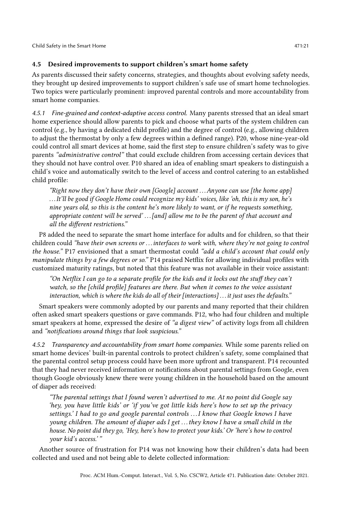# <span id="page-20-0"></span>4.5 Desired improvements to support children's smart home safety

As parents discussed their safety concerns, strategies, and thoughts about evolving safety needs, they brought up desired improvements to support children's safe use of smart home technologies. Two topics were particularly prominent: improved parental controls and more accountability from smart home companies.

4.5.1 Fine-grained and context-adaptive access control. Many parents stressed that an ideal smart home experience should allow parents to pick and choose what parts of the system children can control (e.g., by having a dedicated child profile) and the degree of control (e.g., allowing children to adjust the thermostat by only a few degrees within a defined range). P20, whose nine-year-old could control all smart devices at home, said the first step to ensure children's safety was to give parents "administrative control" that could exclude children from accessing certain devices that they should not have control over. P10 shared an idea of enabling smart speakers to distinguish a child's voice and automatically switch to the level of access and control catering to an established child profile:

"Right now they don't have their own  $[Google]$  account ... Anyone can use  $[the home app]$ . . .It'll be good if Google Home could recognize my kids' voices, like 'oh, this is my son, he's nine years old, so this is the content he's more likely to want, or if he requests something, appropriate content will be served' ... [and] allow me to be the parent of that account and all the different restrictions."

P8 added the need to separate the smart home interface for adults and for children, so that their children could "have their own screens or . . .interfaces to work with, where they're not going to control the house." P17 envisioned that a smart thermostat could "add a child's account that could only manipulate things by a few degrees or so." P14 praised Netflix for allowing individual profiles with customized maturity ratings, but noted that this feature was not available in their voice assistant:

"On Netflix I can go to a separate profile for the kids and it locks out the stuff they can't watch, so the [child profile] features are there. But when it comes to the voice assistant interaction, which is where the kids do all of their [interactions] . . .it just uses the defaults."

Smart speakers were commonly adopted by our parents and many reported that their children often asked smart speakers questions or gave commands. P12, who had four children and multiple smart speakers at home, expressed the desire of "a digest view" of activity logs from all children and "notifications around things that look suspicious."

4.5.2 Transparency and accountability from smart home companies. While some parents relied on smart home devices' built-in parental controls to protect children's safety, some complained that the parental control setup process could have been more upfront and transparent. P14 recounted that they had never received information or notifications about parental settings from Google, even though Google obviously knew there were young children in the household based on the amount of diaper ads received:

"The parental settings that I found weren't advertised to me. At no point did Google say 'hey, you have little kids' or 'if you've got little kids here's how to set up the privacy settings.' I had to go and google parental controls ... I know that Google knows I have young children. The amount of diaper ads I get . . . they know I have a small child in the house. No point did they go, 'Hey, here's how to protect your kids.' Or 'here's how to control your kid's access.' "

Another source of frustration for P14 was not knowing how their children's data had been collected and used and not being able to delete collected information: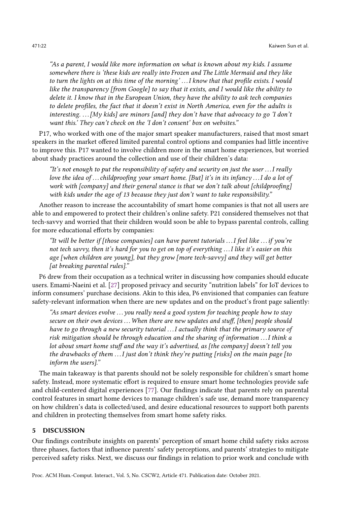"As a parent, I would like more information on what is known about my kids. I assume somewhere there is 'these kids are really into Frozen and The Little Mermaid and they like to turn the lights on at this time of the morning'...I know that that profile exists. I would like the transparency [from Google] to say that it exists, and I would like the ability to delete it. I know that in the European Union, they have the ability to ask tech companies to delete profiles, the fact that it doesn't exist in North America, even for the adults is interesting.  $\ldots$  [My kids] are minors [and] they don't have that advocacy to go 'I don't want this.' They can't check on the 'I don't consent' box on websites."

P17, who worked with one of the major smart speaker manufacturers, raised that most smart speakers in the market offered limited parental control options and companies had little incentive to improve this. P17 wanted to involve children more in the smart home experiences, but worried about shady practices around the collection and use of their children's data:

"It's not enough to put the responsibility of safety and security on just the user . . .I really love the idea of ... childproofing your smart home. [But] it's in its infancy ... I do a lot of work with [company] and their general stance is that we don't talk about [childproofing] with kids under the age of 13 because they just don't want to take responsibility."

Another reason to increase the accountability of smart home companies is that not all users are able to and empowered to protect their children's online safety. P21 considered themselves not that tech-savvy and worried that their children would soon be able to bypass parental controls, calling for more educational efforts by companies:

"It will be better if [those companies] can have parent tutorials  $\dots$  I feel like  $\dots$  if you're not tech savvy, then it's hard for you to get on top of everything . . .I like it's easier on this age [when children are young], but they grow [more tech-savvy] and they will get better [at breaking parental rules]."

P6 drew from their occupation as a technical writer in discussing how companies should educate users. Emami-Naeini et al. [\[27\]](#page-28-11) proposed privacy and security "nutrition labels" for IoT devices to inform consumers' purchase decisions. Akin to this idea, P6 envisioned that companies can feature safety-relevant information when there are new updates and on the product's front page saliently:

"As smart devices evolve . . . you really need a good system for teaching people how to stay secure on their own devices ... When there are new updates and stuff, [then] people should have to go through a new security tutorial ... I actually think that the primary source of risk mitigation should be through education and the sharing of information . . .I think a lot about smart home stuff and the way it's advertised, as [the company] doesn't tell you the drawbacks of them  $\dots$  *I* just don't think they're putting [risks] on the main page [to inform the users]."

The main takeaway is that parents should not be solely responsible for children's smart home safety. Instead, more systematic effort is required to ensure smart home technologies provide safe and child-centered digital experiences [\[77\]](#page-30-15). Our findings indicate that parents rely on parental control features in smart home devices to manage children's safe use, demand more transparency on how children's data is collected/used, and desire educational resources to support both parents and children in protecting themselves from smart home safety risks.

#### 5 DISCUSSION

Our findings contribute insights on parents' perception of smart home child safety risks across three phases, factors that influence parents' safety perceptions, and parents' strategies to mitigate perceived safety risks. Next, we discuss our findings in relation to prior work and conclude with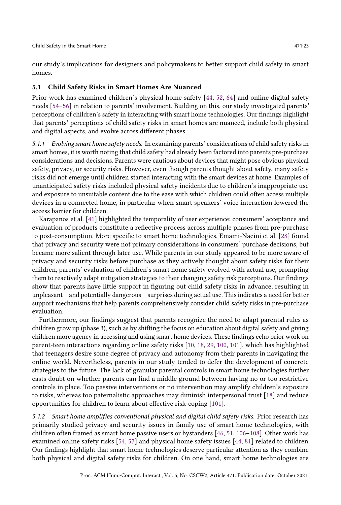our study's implications for designers and policymakers to better support child safety in smart homes.

#### 5.1 Child Safety Risks in Smart Homes Are Nuanced

Prior work has examined children's physical home safety [\[44,](#page-28-1) [52,](#page-29-14) [64\]](#page-29-15) and online digital safety needs [\[54](#page-29-9)[–56\]](#page-29-16) in relation to parents' involvement. Building on this, our study investigated parents' perceptions of children's safety in interacting with smart home technologies. Our findings highlight that parents' perceptions of child safety risks in smart homes are nuanced, include both physical and digital aspects, and evolve across different phases.

5.1.1 Evolving smart home safety needs. In examining parents' considerations of child safety risks in smart homes, it is worth noting that child safety had already been factored into parents pre-purchase considerations and decisions. Parents were cautious about devices that might pose obvious physical safety, privacy, or security risks. However, even though parents thought about safety, many safety risks did not emerge until children started interacting with the smart devices at home. Examples of unanticipated safety risks included physical safety incidents due to children's inappropriate use and exposure to unsuitable content due to the ease with which children could often access multiple devices in a connected home, in particular when smart speakers' voice interaction lowered the access barrier for children.

Karapanos et al. [\[41\]](#page-28-5) highlighted the temporality of user experience: consumers' acceptance and evaluation of products constitute a reflective process across multiple phases from pre-purchase to post-consumption. More specific to smart home technologies, Emami-Naeini et al. [\[28\]](#page-28-7) found that privacy and security were not primary considerations in consumers' purchase decisions, but became more salient through later use. While parents in our study appeared to be more aware of privacy and security risks before purchase as they actively thought about safety risks for their children, parents' evaluation of children's smart home safety evolved with actual use, prompting them to reactively adapt mitigation strategies to their changing safety risk perceptions. Our findings show that parents have little support in figuring out child safety risks in advance, resulting in unpleasant – and potentially dangerous – surprises during actual use. This indicates a need for better support mechanisms that help parents comprehensively consider child safety risks in pre-purchase evaluation.

Furthermore, our findings suggest that parents recognize the need to adapt parental rules as children grow up (phase 3), such as by shifting the focus on education about digital safety and giving children more agency in accessing and using smart home devices. These findings echo prior work on parent-teen interactions regarding online safety risks [\[10,](#page-27-17) [18,](#page-27-18) [29,](#page-28-12) [100,](#page-31-19) [101\]](#page-31-17), which has highlighted that teenagers desire some degree of privacy and autonomy from their parents in navigating the online world. Nevertheless, parents in our study tended to defer the development of concrete strategies to the future. The lack of granular parental controls in smart home technologies further casts doubt on whether parents can find a middle ground between having no or too restrictive controls in place. Too passive interventions or no intervention may amplify children's exposure to risks, whereas too paternalistic approaches may diminish interpersonal trust [\[18\]](#page-27-18) and reduce opportunities for children to learn about effective risk-coping [\[101\]](#page-31-17).

5.1.2 Smart home amplifies conventional physical and digital child safety risks. Prior research has primarily studied privacy and security issues in family use of smart home technologies, with children often framed as smart home passive users or bystanders [\[46,](#page-28-9) [51,](#page-29-12) [106–](#page-31-13)[108\]](#page-31-11). Other work has examined online safety risks [\[54,](#page-29-9) [57\]](#page-29-8) and physical home safety issues [\[44,](#page-28-1) [81\]](#page-30-1) related to children. Our findings highlight that smart home technologies deserve particular attention as they combine both physical and digital safety risks for children. On one hand, smart home technologies are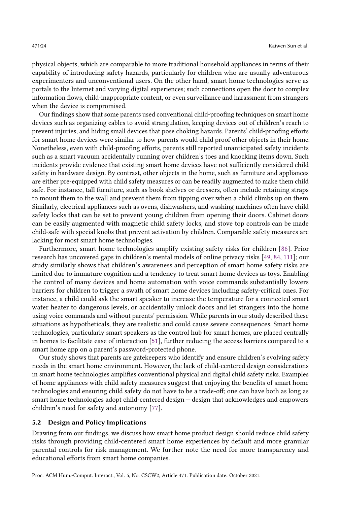physical objects, which are comparable to more traditional household appliances in terms of their capability of introducing safety hazards, particularly for children who are usually adventurous experimenters and unconventional users. On the other hand, smart home technologies serve as portals to the Internet and varying digital experiences; such connections open the door to complex information flows, child-inappropriate content, or even surveillance and harassment from strangers when the device is compromised.

Our findings show that some parents used conventional child-proofing techniques on smart home devices such as organizing cables to avoid strangulation, keeping devices out of children's reach to prevent injuries, and hiding small devices that pose choking hazards. Parents' child-proofing efforts for smart home devices were similar to how parents would child proof other objects in their home. Nonetheless, even with child-proofing efforts, parents still reported unanticipated safety incidents such as a smart vacuum accidentally running over children's toes and knocking items down. Such incidents provide evidence that existing smart home devices have not sufficiently considered child safety in hardware design. By contrast, other objects in the home, such as furniture and appliances are either pre-equipped with child safety measures or can be readily augmented to make them child safe. For instance, tall furniture, such as book shelves or dressers, often include retaining straps to mount them to the wall and prevent them from tipping over when a child climbs up on them. Similarly, electrical appliances such as ovens, dishwashers, and washing machines often have child safety locks that can be set to prevent young children from opening their doors. Cabinet doors can be easily augmented with magnetic child safety locks, and stove top controls can be made child-safe with special knobs that prevent activation by children. Comparable safety measures are lacking for most smart home technologies.

Furthermore, smart home technologies amplify existing safety risks for children [\[86\]](#page-30-16). Prior research has uncovered gaps in children's mental models of online privacy risks [\[49,](#page-29-17) [84,](#page-30-17) [111\]](#page-31-20); our study similarly shows that children's awareness and perception of smart home safety risks are limited due to immature cognition and a tendency to treat smart home devices as toys. Enabling the control of many devices and home automation with voice commands substantially lowers barriers for children to trigger a swath of smart home devices including safety-critical ones. For instance, a child could ask the smart speaker to increase the temperature for a connected smart water heater to dangerous levels, or accidentally unlock doors and let strangers into the home using voice commands and without parents' permission. While parents in our study described these situations as hypotheticals, they are realistic and could cause severe consequences. Smart home technologies, particularly smart speakers as the control hub for smart homes, are placed centrally in homes to facilitate ease of interaction [\[51\]](#page-29-12), further reducing the access barriers compared to a smart home app on a parent's password-protected phone.

Our study shows that parents are gatekeepers who identify and ensure children's evolving safety needs in the smart home environment. However, the lack of child-centered design considerations in smart home technologies amplifies conventional physical and digital child safety risks. Examples of home appliances with child safety measures suggest that enjoying the benefits of smart home technologies and ensuring child safety do not have to be a trade-off; one can have both as long as smart home technologies adopt child-centered design — design that acknowledges and empowers children's need for safety and autonomy [\[77\]](#page-30-15).

#### 5.2 Design and Policy Implications

Drawing from our findings, we discuss how smart home product design should reduce child safety risks through providing child-centered smart home experiences by default and more granular parental controls for risk management. We further note the need for more transparency and educational efforts from smart home companies.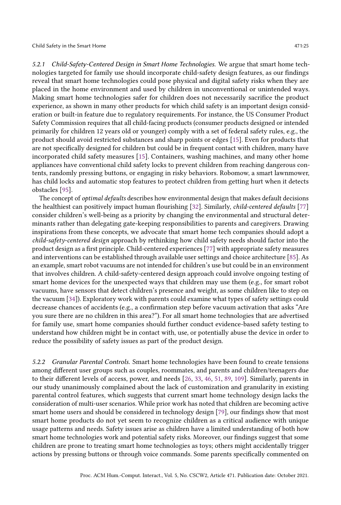5.2.1 Child-Safety-Centered Design in Smart Home Technologies. We argue that smart home technologies targeted for family use should incorporate child-safety design features, as our findings reveal that smart home technologies could pose physical and digital safety risks when they are placed in the home environment and used by children in unconventional or unintended ways. Making smart home technologies safer for children does not necessarily sacrifice the product experience, as shown in many other products for which child safety is an important design consideration or built-in feature due to regulatory requirements. For instance, the US Consumer Product Safety Commission requires that all child-facing products (consumer products designed or intended primarily for children 12 years old or younger) comply with a set of federal safety rules, e.g., the product should avoid restricted substances and sharp points or edges [\[15\]](#page-27-19). Even for products that are not specifically designed for children but could be in frequent contact with children, many have incorporated child safety measures [\[15\]](#page-27-19). Containers, washing machines, and many other home appliances have conventional child safety locks to prevent children from reaching dangerous contents, randomly pressing buttons, or engaging in risky behaviors. Robomow, a smart lawnmower, has child locks and automatic stop features to protect children from getting hurt when it detects obstacles [\[95\]](#page-31-21).

The concept of *optimal defaults* describes how environmental design that makes default decisions the healthiest can positively impact human flourishing [\[32\]](#page-28-13). Similarly, child-centered defaults [\[77\]](#page-30-15) consider children's well-being as a priority by changing the environmental and structural determinants rather than delegating gate-keeping responsibilities to parents and caregivers. Drawing inspirations from these concepts, we advocate that smart home tech companies should adopt a child-safety-centered design approach by rethinking how child safety needs should factor into the product design as a first principle. Child-centered experiences [\[77\]](#page-30-15) with appropriate safety measures and interventions can be established through available user settings and choice architecture [\[85\]](#page-30-18). As an example, smart robot vacuums are not intended for children's use but could be in an environment that involves children. A child-safety-centered design approach could involve ongoing testing of smart home devices for the unexpected ways that children may use them (e.g., for smart robot vacuums, have sensors that detect children's presence and weight, as some children like to step on the vacuum [\[34\]](#page-28-14)). Exploratory work with parents could examine what types of safety settings could decrease chances of accidents (e.g., a confirmation step before vacuum activation that asks "Are you sure there are no children in this area?"). For all smart home technologies that are advertised for family use, smart home companies should further conduct evidence-based safety testing to understand how children might be in contact with, use, or potentially abuse the device in order to reduce the possibility of safety issues as part of the product design.

5.2.2 Granular Parental Controls. Smart home technologies have been found to create tensions among different user groups such as couples, roommates, and parents and children/teenagers due to their different levels of access, power, and needs [\[26,](#page-27-20) [33,](#page-28-8) [46,](#page-28-9) [51,](#page-29-12) [89,](#page-31-9) [109\]](#page-31-0). Similarly, parents in our study unanimously complained about the lack of customization and granularity in existing parental control features, which suggests that current smart home technology design lacks the consideration of multi-user scenarios. While prior work has noted that children are becoming active smart home users and should be considered in technology design [\[79\]](#page-30-19), our findings show that most smart home products do not yet seem to recognize children as a critical audience with unique usage patterns and needs. Safety issues arise as children have a limited understanding of both how smart home technologies work and potential safety risks. Moreover, our findings suggest that some children are prone to treating smart home technologies as toys; others might accidentally trigger actions by pressing buttons or through voice commands. Some parents specifically commented on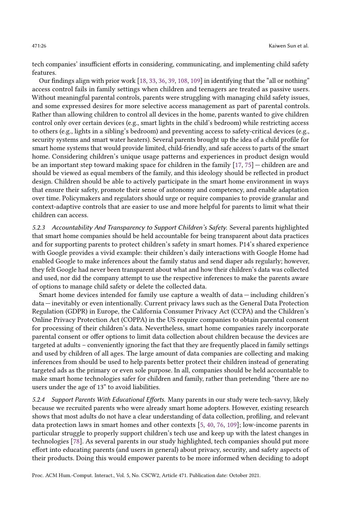tech companies' insufficient efforts in considering, communicating, and implementing child safety features.

Our findings align with prior work [\[18,](#page-27-18) [33,](#page-28-8) [36,](#page-28-15) [39,](#page-28-16) [108,](#page-31-11) [109\]](#page-31-0) in identifying that the "all or nothing" access control fails in family settings when children and teenagers are treated as passive users. Without meaningful parental controls, parents were struggling with managing child safety issues, and some expressed desires for more selective access management as part of parental controls. Rather than allowing children to control all devices in the home, parents wanted to give children control only over certain devices (e.g., smart lights in the child's bedroom) while restricting access to others (e.g., lights in a sibling's bedroom) and preventing access to safety-critical devices (e.g., security systems and smart water heaters). Several parents brought up the idea of a child profile for smart home systems that would provide limited, child-friendly, and safe access to parts of the smart home. Considering children's unique usage patterns and experiences in product design would be an important step toward making space for children in the family [\[17,](#page-27-0) [75\]](#page-30-20) — children are and should be viewed as equal members of the family, and this ideology should be reflected in product design. Children should be able to actively participate in the smart home environment in ways that ensure their safety, promote their sense of autonomy and competency, and enable adaptation over time. Policymakers and regulators should urge or require companies to provide granular and context-adaptive controls that are easier to use and more helpful for parents to limit what their children can access.

5.2.3 Accountability And Transparency to Support Children's Safety. Several parents highlighted that smart home companies should be held accountable for being transparent about data practices and for supporting parents to protect children's safety in smart homes. P14's shared experience with Google provides a vivid example: their children's daily interactions with Google Home had enabled Google to make inferences about the family status and send diaper ads regularly; however, they felt Google had never been transparent about what and how their children's data was collected and used, nor did the company attempt to use the respective inferences to make the parents aware of options to manage child safety or delete the collected data.

Smart home devices intended for family use capture a wealth of data — including children's data — inevitably or even intentionally. Current privacy laws such as the General Data Protection Regulation (GDPR) in Europe, the California Consumer Privacy Act (CCPA) and the Children's Online Privacy Protection Act (COPPA) in the US require companies to obtain parental consent for processing of their children's data. Nevertheless, smart home companies rarely incorporate parental consent or offer options to limit data collection about children because the devices are targeted at adults – conveniently ignoring the fact that they are frequently placed in family settings and used by children of all ages. The large amount of data companies are collecting and making inferences from should be used to help parents better protect their children instead of generating targeted ads as the primary or even sole purpose. In all, companies should be held accountable to make smart home technologies safer for children and family, rather than pretending "there are no users under the age of 13" to avoid liabilities.

5.2.4 Support Parents With Educational Efforts. Many parents in our study were tech-savvy, likely because we recruited parents who were already smart home adopters. However, existing research shows that most adults do not have a clear understanding of data collection, profiling, and relevant data protection laws in smart homes and other contexts [\[5,](#page-27-21) [40,](#page-28-17) [76,](#page-30-21) [109\]](#page-31-0); low-income parents in particular struggle to properly support children's tech use and keep up with the latest changes in technologies [\[78\]](#page-30-22). As several parents in our study highlighted, tech companies should put more effort into educating parents (and users in general) about privacy, security, and safety aspects of their products. Doing this would empower parents to be more informed when deciding to adopt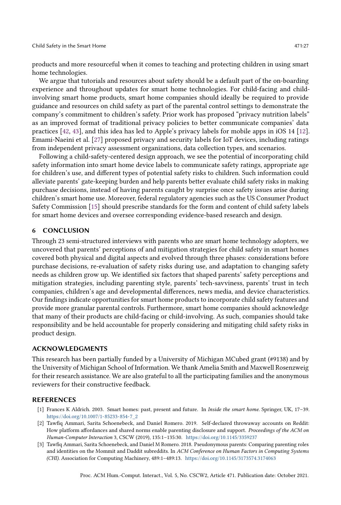products and more resourceful when it comes to teaching and protecting children in using smart home technologies.

We argue that tutorials and resources about safety should be a default part of the on-boarding experience and throughout updates for smart home technologies. For child-facing and childinvolving smart home products, smart home companies should ideally be required to provide guidance and resources on child safety as part of the parental control settings to demonstrate the company's commitment to children's safety. Prior work has proposed "privacy nutrition labels" as an improved format of traditional privacy policies to better communicate companies' data practices [\[42,](#page-28-18) [43\]](#page-28-19), and this idea has led to Apple's privacy labels for mobile apps in iOS 14 [\[12\]](#page-27-22). Emami-Naeini et al. [\[27\]](#page-28-11) proposed privacy and security labels for IoT devices, including ratings from independent privacy assessment organizations, data collection types, and scenarios.

Following a child-safety-centered design approach, we see the potential of incorporating child safety information into smart home device labels to communicate safety ratings, appropriate age for children's use, and different types of potential safety risks to children. Such information could alleviate parents' gate-keeping burden and help parents better evaluate child safety risks in making purchase decisions, instead of having parents caught by surprise once safety issues arise during children's smart home use. Moreover, federal regulatory agencies such as the US Consumer Product Safety Commission [\[15\]](#page-27-19) should prescribe standards for the form and content of child safety labels for smart home devices and oversee corresponding evidence-based research and design.

#### 6 CONCLUSION

Through 23 semi-structured interviews with parents who are smart home technology adopters, we uncovered that parents' perceptions of and mitigation strategies for child safety in smart homes covered both physical and digital aspects and evolved through three phases: considerations before purchase decisions, re-evaluation of safety risks during use, and adaptation to changing safety needs as children grow up. We identified six factors that shaped parents' safety perceptions and mitigation strategies, including parenting style, parents' tech-savviness, parents' trust in tech companies, children's age and developmental differences, news media, and device characteristics. Our findings indicate opportunities for smart home products to incorporate child safety features and provide more granular parental controls. Furthermore, smart home companies should acknowledge that many of their products are child-facing or child-involving. As such, companies should take responsibility and be held accountable for properly considering and mitigating child safety risks in product design.

#### ACKNOWLEDGMENTS

This research has been partially funded by a University of Michigan MCubed grant (#9138) and by the University of Michigan School of Information. We thank Amelia Smith and Maxwell Rosenzweig for their research assistance. We are also grateful to all the participating families and the anonymous reviewers for their constructive feedback.

#### **REFERENCES**

- <span id="page-26-0"></span>[1] Frances K Aldrich. 2003. Smart homes: past, present and future. In Inside the smart home. Springer, UK, 17–39. [https://doi.org/10.1007/1-85233-854-7\\_2](https://doi.org/10.1007/1-85233-854-7_2)
- <span id="page-26-1"></span>[2] Tawfiq Ammari, Sarita Schoenebeck, and Daniel Romero. 2019. Self-declared throwaway accounts on Reddit: How platform affordances and shared norms enable parenting disclosure and support. Proceedings of the ACM on Human-Computer Interaction 3, CSCW (2019), 135:1–135:30. <https://doi.org/10.1145/3359237>
- <span id="page-26-2"></span>[3] Tawfiq Ammari, Sarita Schoenebeck, and Daniel M Romero. 2018. Pseudonymous parents: Comparing parenting roles and identities on the Mommit and Daddit subreddits. In ACM Conference on Human Factors in Computing Systems (CHI). Association for Computing Machinery, 489:1–489:13. <https://doi.org/10.1145/3173574.3174063>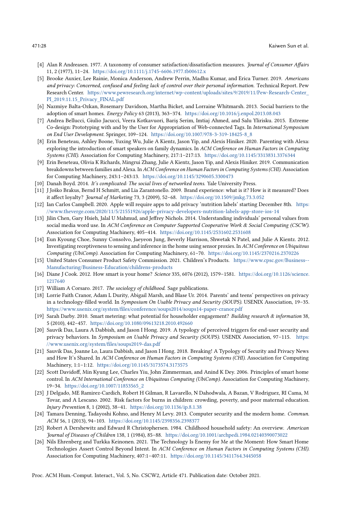- <span id="page-27-11"></span>[4] Alan R Andreasen. 1977. A taxonomy of consumer satisfaction/dissatisfaction measures. Journal of Consumer Affairs 11, 2 (1977), 11–24. <https://doi.org/10.1111/j.1745-6606.1977.tb00612.x>
- <span id="page-27-21"></span>[5] Brooke Auxier, Lee Rainie, Monica Anderson, Andrew Perrin, Madhu Kumar, and Erica Turner. 2019. Americans and privacy: Concerned, confused and feeling lack of control over their personal information. Technical Report. Pew Research Center. [https://www.pewresearch.org/internet/wp-content/uploads/sites/9/2019/11/Pew-Research-Center\\_](https://www.pewresearch.org/internet/wp-content/uploads/sites/9/2019/11/Pew-Research-Center_PI_2019.11.15_Privacy_FINAL.pdf) [PI\\_2019.11.15\\_Privacy\\_FINAL.pdf](https://www.pewresearch.org/internet/wp-content/uploads/sites/9/2019/11/Pew-Research-Center_PI_2019.11.15_Privacy_FINAL.pdf)
- <span id="page-27-8"></span>[6] Nazmiye Balta-Ozkan, Rosemary Davidson, Martha Bicket, and Lorraine Whitmarsh. 2013. Social barriers to the adoption of smart homes. Energy Policy 63 (2013), 363–374. <https://doi.org/10.1016/j.enpol.2013.08.043>
- <span id="page-27-4"></span>[7] Andrea Bellucci, Giulio Jacucci, Veera Kotkavuori, Bariş Serim, Imtiaj Ahmed, and Salu Ylirisku. 2015. Extreme Co-design: Prototyping with and by the User for Appropriation of Web-connected Tags. In International Symposium on End User Development. Springer, 109–124. [https://doi.org/10.1007/978-3-319-18425-8\\_8](https://doi.org/10.1007/978-3-319-18425-8_8)
- <span id="page-27-14"></span>[8] Erin Beneteau, Ashley Boone, Yuxing Wu, Julie A Kientz, Jason Yip, and Alexis Hiniker. 2020. Parenting with Alexa: exploring the introduction of smart speakers on family dynamics. In ACM Conference on Human Factors in Computing Systems (CHI). Association for Computing Machinery, 217:1–217:13. <https://doi.org/10.1145/3313831.3376344>
- <span id="page-27-2"></span>[9] Erin Beneteau, Olivia K Richards, Mingrui Zhang, Julie A Kientz, Jason Yip, and Alexis Hiniker. 2019. Communication breakdowns between families and Alexa. In ACM Conference on Human Factors in Computing Systems (CHI). Association for Computing Machinery, 243:1–243:13. <https://doi.org/10.1145/3290605.3300473>
- <span id="page-27-17"></span>[10] Danah Boyd. 2014. It's complicated: The social lives of networked teens. Yale University Press.
- <span id="page-27-7"></span>[11] J Joško Brakus, Bernd H Schmitt, and Lia Zarantonello. 2009. Brand experience: what is it? How is it measured? Does it affect loyalty? Journal of Marketing 73, 3 (2009), 52–68. <https://doi.org/10.1509/jmkg.73.3.052>
- <span id="page-27-22"></span>[12] Ian Carlos Campbell. 2020. Apple will require apps to add privacy 'nutrition labels' starting December 8th. [https:](https://www.theverge.com/2020/11/5/21551926/apple-privacy-developers-nutrition-labels-app-store-ios-14) [//www.theverge.com/2020/11/5/21551926/apple-privacy-developers-nutrition-labels-app-store-ios-14](https://www.theverge.com/2020/11/5/21551926/apple-privacy-developers-nutrition-labels-app-store-ios-14)
- <span id="page-27-13"></span>[13] Jilin Chen, Gary Hsieh, Jalal U Mahmud, and Jeffrey Nichols. 2014. Understanding individuals' personal values from social media word use. In ACM Conference on Computer Supported Cooperative Work & Social Computing (CSCW). Association for Computing Machinery, 405–414. <https://doi.org/10.1145/2531602.2531608>
- <span id="page-27-12"></span>[14] Eun Kyoung Choe, Sunny Consolvo, Jaeyeon Jung, Beverly Harrison, Shwetak N Patel, and Julie A Kientz. 2012. Investigating receptiveness to sensing and inference in the home using sensor proxies. In ACM Conference on Ubiquitous Computing (UbiComp). Association for Computing Machinery, 61–70. <https://doi.org/10.1145/2370216.2370226>
- <span id="page-27-19"></span>[15] United States Consumer Product Safety Commission. 2021. Children's Products. [https://www.cpsc.gov/Business--](https://www.cpsc.gov/Business--Manufacturing/Business-Education/childrens-products) [Manufacturing/Business-Education/childrens-products](https://www.cpsc.gov/Business--Manufacturing/Business-Education/childrens-products)
- <span id="page-27-1"></span>[16] Diane J Cook. 2012. How smart is your home? Science 335, 6076 (2012), 1579–1581. [https://doi.org/10.1126/science.](https://doi.org/10.1126/science.1217640) [1217640](https://doi.org/10.1126/science.1217640)
- <span id="page-27-0"></span>[17] William A Corsaro. 2017. The sociology of childhood. Sage publications.
- <span id="page-27-18"></span>[18] Lorrie Faith Cranor, Adam L Durity, Abigail Marsh, and Blase Ur. 2014. Parents' and teens' perspectives on privacy in a technology-filled world. In Symposium On Usable Privacy and Security (SOUPS). USENIX Association, 19-35. <https://www.usenix.org/system/files/conference/soups2014/soups14-paper-cranor.pdf>
- <span id="page-27-9"></span>[19] Sarah Darby. 2010. Smart metering: what potential for householder engagement? Building research & information 38, 5 (2010), 442–457. <https://doi.org/10.1080/09613218.2010.492660>
- <span id="page-27-15"></span>[20] Sauvik Das, Laura A Dabbish, and Jason I Hong. 2019. A typology of perceived triggers for end-user security and privacy behaviors. In Symposium on Usable Privacy and Security (SOUPS). USENIX Association, 97-115. [https:](https://www.usenix.org/system/files/soups2019-das.pdf) [//www.usenix.org/system/files/soups2019-das.pdf](https://www.usenix.org/system/files/soups2019-das.pdf)
- <span id="page-27-16"></span>[21] Sauvik Das, Joanne Lo, Laura Dabbish, and Jason I Hong. 2018. Breaking! A Typology of Security and Privacy News and How It's Shared. In ACM Conference on Human Factors in Computing Systems (CHI). Association for Computing Machinery, 1:1–1:12. <https://doi.org/10.1145/3173574.3173575>
- <span id="page-27-10"></span>[22] Scott Davidoff, Min Kyung Lee, Charles Yiu, John Zimmerman, and Anind K Dey. 2006. Principles of smart home control. In ACM International Conference on Ubiquitous Computing (UbiComp). Association for Computing Machinery, 19–34. [https://doi.org/10.1007/11853565\\_2](https://doi.org/10.1007/11853565_2)
- <span id="page-27-3"></span>[23] J Delgado, ME Ramirez-Cardich, Robert H Gilman, R Lavarello, N Dahodwala, A Bazan, V Rodriguez, RI Cama, M Tovar, and A Lescano. 2002. Risk factors for burns in children: crowding, poverty, and poor maternal education. Injury Prevention 8, 1 (2002), 38–41. <https://doi.org/10.1136/ip.8.1.38>
- <span id="page-27-5"></span>[24] Tamara Denning, Tadayoshi Kohno, and Henry M Levy. 2013. Computer security and the modern home. Commun. ACM 56, 1 (2013), 94–103. <https://doi.org/10.1145/2398356.2398377>
- <span id="page-27-6"></span>[25] Robert A Dershewitz and Edward R Christophersen. 1984. Childhood household safety: An overview. American Journal of Diseases of Children 138, 1 (1984), 85–88. <https://doi.org/10.1001/archpedi.1984.02140390073022>
- <span id="page-27-20"></span>[26] Nils Ehrenberg and Turkka Keinonen. 2021. The Technology Is Enemy for Me at the Moment: How Smart Home Technologies Assert Control Beyond Intent. In ACM Conference on Human Factors in Computing Systems (CHI). Association for Computing Machinery, 407:1–407:11. <https://doi.org/10.1145/3411764.3445058>

Proc. ACM Hum.-Comput. Interact., Vol. 5, No. CSCW2, Article 471. Publication date: October 2021.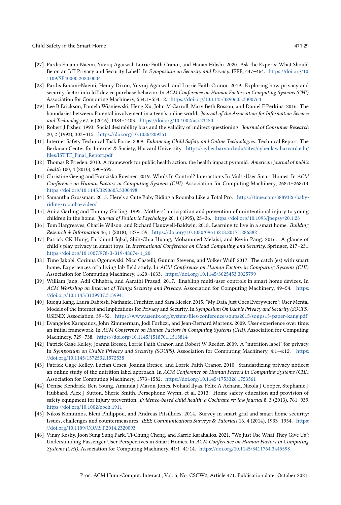- <span id="page-28-11"></span>[27] Pardis Emami-Naeini, Yuvraj Agarwal, Lorrie Faith Cranor, and Hanan Hibshi. 2020. Ask the Experts: What Should Be on an IoT Privacy and Security Label?. In Symposium on Security and Privacy. IEEE, 447–464. [https://doi.org/10.](https://doi.org/10.1109/SP40000.2020.0004) [1109/SP40000.2020.0004](https://doi.org/10.1109/SP40000.2020.0004)
- <span id="page-28-7"></span>[28] Pardis Emami-Naeini, Henry Dixon, Yuvraj Agarwal, and Lorrie Faith Cranor. 2019. Exploring how privacy and security factor into IoT device purchase behavior. In ACM Conference on Human Factors in Computing Systems (CHI). Association for Computing Machinery, 534:1–534:12. <https://doi.org/10.1145/3290605.3300764>
- <span id="page-28-12"></span>[29] Lee B Erickson, Pamela Wisniewski, Heng Xu, John M Carroll, Mary Beth Rosson, and Daniel F Perkins. 2016. The boundaries between: Parental involvement in a teen's online world. Journal of the Association for Information Science and Technology 67, 6 (2016), 1384–1403. <https://doi.org/10.1002/asi.23450>
- <span id="page-28-10"></span>[30] Robert J Fisher. 1993. Social desirability bias and the validity of indirect questioning. Journal of Consumer Research 20, 2 (1993), 303–315. <https://doi.org/10.1086/209351>
- <span id="page-28-2"></span>[31] Internet Safety Technical Task Force. 2009. Enhancing Child Safety and Online Technologies. Technical Report. The Berkman Center for Internet & Society, Harvard University. [https://cyber.harvard.edu/sites/cyber.law.harvard.edu/](https://cyber.harvard.edu/sites/cyber.law.harvard.edu/files/ISTTF_Final_Report.pdf) [files/ISTTF\\_Final\\_Report.pdf](https://cyber.harvard.edu/sites/cyber.law.harvard.edu/files/ISTTF_Final_Report.pdf)
- <span id="page-28-13"></span>[32] Thomas R Frieden. 2010. A framework for public health action: the health impact pyramid. American journal of public health 100, 4 (2010), 590–595.
- <span id="page-28-8"></span>[33] Christine Geeng and Franziska Roesner. 2019. Who's In Control? Interactions In Multi-User Smart Homes. In ACM Conference on Human Factors in Computing Systems (CHI). Association for Computing Machinery, 268:1–268:13. <https://doi.org/10.1145/3290605.3300498>
- <span id="page-28-14"></span>[34] Samantha Grossman. 2015. Here's a Cute Baby Riding a Roomba Like a Total Pro. [https://time.com/3889326/baby](https://time.com/3889326/baby-riding-roomba-video/)[riding-roomba-video/](https://time.com/3889326/baby-riding-roomba-video/)
- <span id="page-28-4"></span>[35] Anita Gärling and Tommy Gärling. 1995. Mothers' anticipation and prevention of unintentional injury to young children in the home. Journal of Pediatric Psychology 20, 1 (1995), 23–36. <https://doi.org/10.1093/jpepsy/20.1.23>
- <span id="page-28-15"></span>[36] Tom Hargreaves, Charlie Wilson, and Richard Hauxwell-Baldwin. 2018. Learning to live in a smart home. Building Research & Information 46, 1 (2018), 127–139. <https://doi.org/10.1080/09613218.2017.1286882>
- <span id="page-28-0"></span>[37] Patrick CK Hung, Farkhund Iqbal, Shih-Chia Huang, Mohammed Melaisi, and Kevin Pang. 2016. A glance of child's play privacy in smart toys. In International Conference on Cloud Computing and Security. Springer, 217–231. [https://doi.org/10.1007/978-3-319-48674-1\\_20](https://doi.org/10.1007/978-3-319-48674-1_20)
- <span id="page-28-6"></span>[38] Timo Jakobi, Corinna Ogonowski, Nico Castelli, Gunnar Stevens, and Volker Wulf. 2017. The catch (es) with smart home: Experiences of a living lab field study. In ACM Conference on Human Factors in Computing Systems (CHI). Association for Computing Machinery, 1620–1633. <https://doi.org/10.1145/3025453.3025799>
- <span id="page-28-16"></span>[39] William Jang, Adil Chhabra, and Aarathi Prasad. 2017. Enabling multi-user controls in smart home devices. In ACM Workshop on Internet of Things Security and Privacy. Association for Computing Machinery, 49–54. [https:](https://doi.org/10.1145/3139937.3139941) [//doi.org/10.1145/3139937.3139941](https://doi.org/10.1145/3139937.3139941)
- <span id="page-28-17"></span>[40] Ruogu Kang, Laura Dabbish, Nathaniel Fruchter, and Sara Kiesler. 2015. "My Data Just Goes Everywhere": User Mental Models of the Internet and Implications for Privacy and Security. In Symposium On Usable Privacy and Security (SOUPS). USENIX Association, 39–52. <https://www.usenix.org/system/files/conference/soups2015/soups15-paper-kang.pdf>
- <span id="page-28-5"></span>[41] Evangelos Karapanos, John Zimmerman, Jodi Forlizzi, and Jean-Bernard Martens. 2009. User experience over time: an initial framework. In ACM Conference on Human Factors in Computing Systems (CHI). Association for Computing Machinery, 729–738. <https://doi.org/10.1145/1518701.1518814>
- <span id="page-28-18"></span>[42] Patrick Gage Kelley, Joanna Bresee, Lorrie Faith Cranor, and Robert W Reeder. 2009. A "nutrition label" for privacy. In Symposium on Usable Privacy and Security (SOUPS). Association for Computing Machinery, 4:1–4:12. [https:](https://doi.org/10.1145/1572532.1572538) [//doi.org/10.1145/1572532.1572538](https://doi.org/10.1145/1572532.1572538)
- <span id="page-28-19"></span>[43] Patrick Gage Kelley, Lucian Cesca, Joanna Bresee, and Lorrie Faith Cranor. 2010. Standardizing privacy notices: an online study of the nutrition label approach. In ACM Conference on Human Factors in Computing Systems (CHI). Association for Computing Machinery, 1573–1582. <https://doi.org/10.1145/1753326.1753561>
- <span id="page-28-1"></span>[44] Denise Kendrick, Ben Young, Amanda J Mason-Jones, Nohaid Ilyas, Felix A Achana, Nicola J Cooper, Stephanie J Hubbard, Alex J Sutton, Sherie Smith, Persephone Wynn, et al. 2013. Home safety education and provision of safety equipment for injury prevention. Evidence-based child health: a Cochrane review journal 8, 3 (2013), 761–939. <https://doi.org/10.1002/ebch.1911>
- <span id="page-28-3"></span>[45] Nikos Komninos, Eleni Philippou, and Andreas Pitsillides. 2014. Survey in smart grid and smart home security: Issues, challenges and countermeasures. IEEE Communications Surveys & Tutorials 16, 4 (2014), 1933-1954. [https:](https://doi.org/10.1109/COMST.2014.2320093) [//doi.org/10.1109/COMST.2014.2320093](https://doi.org/10.1109/COMST.2014.2320093)
- <span id="page-28-9"></span>[46] Vinay Koshy, Joon Sung Sung Park, Ti-Chung Cheng, and Karrie Karahalios. 2021. "We Just Use What They Give Us": Understanding Passenger User Perspectives in Smart Homes. In ACM Conference on Human Factors in Computing Systems (CHI). Association for Computing Machinery, 41:1–41:14. <https://doi.org/10.1145/3411764.3445598>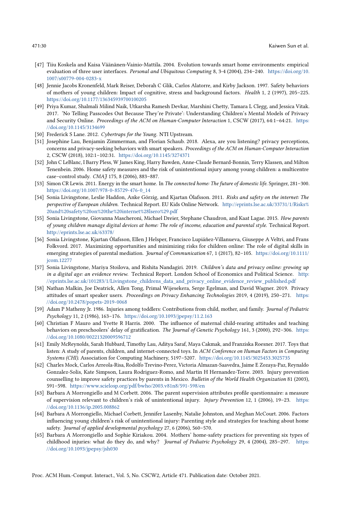- <span id="page-29-0"></span>[47] Tiiu Koskela and Kaisa Väänänen-Vainio-Mattila. 2004. Evolution towards smart home environments: empirical evaluation of three user interfaces. Personal and Ubiquitous Computing 8, 3-4 (2004), 234-240. [https://doi.org/10.](https://doi.org/10.1007/s00779-004-0283-x) [1007/s00779-004-0283-x](https://doi.org/10.1007/s00779-004-0283-x)
- <span id="page-29-5"></span>[48] Jennie Jacobs Kronenfeld, Mark Reiser, Deborah C Glik, Carlos Alatorre, and Kirby Jackson. 1997. Safety behaviors of mothers of young children: Impact of cognitive, stress and background factors. Health 1, 2 (1997), 205–225. <https://doi.org/10.1177/136345939700100205>
- <span id="page-29-17"></span>[49] Priya Kumar, Shalmali Milind Naik, Utkarsha Ramesh Devkar, Marshini Chetty, Tamara L Clegg, and Jessica Vitak. 2017. 'No Telling Passcodes Out Because They're Private': Understanding Children's Mental Models of Privacy and Security Online. Proceedings of the ACM on Human-Computer Interaction 1, CSCW (2017), 64:1-64:21. [https:](https://doi.org/10.1145/3134699) [//doi.org/10.1145/3134699](https://doi.org/10.1145/3134699)
- <span id="page-29-10"></span>[50] Frederick S Lane. 2012. Cybertraps for the Young. NTI Upstream.
- <span id="page-29-12"></span>[51] Josephine Lau, Benjamin Zimmerman, and Florian Schaub. 2018. Alexa, are you listening? privacy perceptions, concerns and privacy-seeking behaviors with smart speakers. Proceedings of the ACM on Human-Computer Interaction 2, CSCW (2018), 102:1–102:31. <https://doi.org/10.1145/3274371>
- <span id="page-29-14"></span>[52] John C LeBlanc, I Barry Pless, W James King, Harry Bawden, Anne-Claude Bernard-Bonnin, Terry Klassen, and Milton Tenenbein. 2006. Home safety measures and the risk of unintentional injury among young children: a multicentre case–control study. CMAJ 175, 8 (2006), 883–887.
- <span id="page-29-13"></span>[53] Simon CR Lewis. 2011. Energy in the smart home. In The connected home: The future of domestic life. Springer, 281–300. [https://doi.org/10.1007/978-0-85729-476-0\\_14](https://doi.org/10.1007/978-0-85729-476-0_14)
- <span id="page-29-9"></span>[54] Sonia Livingstone, Leslie Haddon, Anke Görzig, and Kjartan Ólafsson. 2011. Risks and safety on the internet: The perspective of European children. Technical Report. EU Kids Online Network. [http://eprints.lse.ac.uk/33731/1/Risks%](http://eprints.lse.ac.uk/33731/1/Risks%20and%20safety%20on%20the%20internet%28lsero%29.pdf) [20and%20safety%20on%20the%20internet%28lsero%29.pdf](http://eprints.lse.ac.uk/33731/1/Risks%20and%20safety%20on%20the%20internet%28lsero%29.pdf)
- [55] Sonia Livingstone, Giovanna Mascheroni, Michael Dreier, Stephane Chaudron, and Kaat Lagae. 2015. How parents of young children manage digital devices at home: The role of income, education and parental style. Technical Report. <http://eprints.lse.ac.uk/63378/>
- <span id="page-29-16"></span>[56] Sonia Livingstone, Kjartan Ólafsson, Ellen J Helsper, Francisco Lupiáñez-Villanueva, Giuseppe A Veltri, and Frans Folkvord. 2017. Maximizing opportunities and minimizing risks for children online: The role of digital skills in emerging strategies of parental mediation. Journal of Communication 67, 1 (2017), 82-105. [https://doi.org/10.1111/](https://doi.org/10.1111/jcom.12277) [jcom.12277](https://doi.org/10.1111/jcom.12277)
- <span id="page-29-8"></span>[57] Sonia Livingstone, Mariya Stoilova, and Rishita Nandagiri. 2019. Children's data and privacy online: growing up in a digital age: an evidence review. Technical Report. London School of Economics and Political Science. [http:](http://eprints.lse.ac.uk/101283/1/Livingstone_childrens_data_and_privacy_online_evidence_review_published.pdf) [//eprints.lse.ac.uk/101283/1/Livingstone\\_childrens\\_data\\_and\\_privacy\\_online\\_evidence\\_review\\_published.pdf](http://eprints.lse.ac.uk/101283/1/Livingstone_childrens_data_and_privacy_online_evidence_review_published.pdf)
- <span id="page-29-1"></span>[58] Nathan Malkin, Joe Deatrick, Allen Tong, Primal Wijesekera, Serge Egelman, and David Wagner. 2019. Privacy attitudes of smart speaker users. Proceedings on Privacy Enhancing Technologies 2019, 4 (2019), 250–271. [https:](https://doi.org/10.2478/popets-2019-0068) [//doi.org/10.2478/popets-2019-0068](https://doi.org/10.2478/popets-2019-0068)
- <span id="page-29-3"></span>[59] Adam P Matheny Jr. 1986. Injuries among toddlers: Contributions from child, mother, and family. Journal of Pediatric Psychology 11, 2 (1986), 163–176. <https://doi.org/10.1093/jpepsy/11.2.163>
- <span id="page-29-11"></span>[60] Christian F Mauro and Yvette R Harris. 2000. The influence of maternal child-rearing attitudes and teaching behaviors on preschoolers' delay of gratification. The Journal of Genetic Psychology 161, 3 (2000), 292-306. [https:](https://doi.org/10.1080/00221320009596712) [//doi.org/10.1080/00221320009596712](https://doi.org/10.1080/00221320009596712)
- <span id="page-29-2"></span>[61] Emily McReynolds, Sarah Hubbard, Timothy Lau, Aditya Saraf, Maya Cakmak, and Franziska Roesner. 2017. Toys that listen: A study of parents, children, and internet-connected toys. In ACM Conference on Human Factors in Computing Systems (CHI). Association for Computing Machinery, 5197–5207. <https://doi.org/10.1145/3025453.3025735>
- <span id="page-29-6"></span>[62] Charles Mock, Carlos Arreola-Risa, Rodolfo Trevino-Perez, Victoria Almazan-Saavedra, Jaime E Zozaya-Paz, Reynaldo Gonzalez-Solis, Kate Simpson, Laura Rodriguez-Romo, and Martin H Hernandez-Torre. 2003. Injury prevention counselling to improve safety practices by parents in Mexico. Bulletin of the World Health Organization 81 (2003), 591–598. <https://www.scielosp.org/pdf/bwho/2003.v81n8/591-598/en>
- <span id="page-29-7"></span>[63] Barbara A Morrongiello and M Corbett. 2006. The parent supervision attributes profile questionnaire: a measure of supervision relevant to children's risk of unintentional injury. Injury Prevention 12, 1 (2006), 19–23. [https:](https://doi.org/10.1136/ip.2005.008862) [//doi.org/10.1136/ip.2005.008862](https://doi.org/10.1136/ip.2005.008862)
- <span id="page-29-15"></span>[64] Barbara A Morrongiello, Michael Corbett, Jennifer Lasenby, Natalie Johnston, and Meghan McCourt. 2006. Factors influencing young children's risk of unintentional injury: Parenting style and strategies for teaching about home safety. Journal of applied developmental psychology 27, 6 (2006), 560–570.
- <span id="page-29-4"></span>[65] Barbara A Morrongiello and Sophie Kiriakou. 2004. Mothers' home-safety practices for preventing six types of childhood injuries: what do they do, and why? Journal of Pediatric Psychology 29, 4 (2004), 285–297. [https:](https://doi.org/10.1093/jpepsy/jsh030) [//doi.org/10.1093/jpepsy/jsh030](https://doi.org/10.1093/jpepsy/jsh030)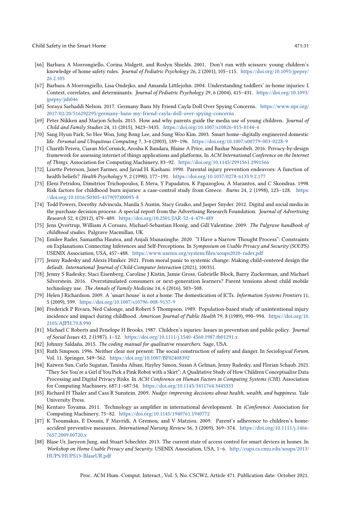- <span id="page-30-5"></span>[66] Barbara A Morrongiello, Corina Midgett, and Roslyn Shields. 2001. Don't run with scissors: young children's knowledge of home safety rules. Journal of Pediatric Psychology 26, 2 (2001), 105-115. [https://doi.org/10.1093/jpepsy/](https://doi.org/10.1093/jpepsy/26.2.105) [26.2.105](https://doi.org/10.1093/jpepsy/26.2.105)
- <span id="page-30-6"></span>[67] Barbara A Morrongiello, Lisa Ondejko, and Amanda Littlejohn. 2004. Understanding toddlers' in-home injuries: I. Context, correlates, and determinants. Journal of Pediatric Psychology 29, 6 (2004), 415–431. [https://doi.org/10.1093/](https://doi.org/10.1093/jpepsy/jsh046) [jpepsy/jsh046](https://doi.org/10.1093/jpepsy/jsh046)
- <span id="page-30-9"></span>[68] Soraya Sarhaddi Nelson. 2017. Germany Bans My Friend Cayla Doll Over Spying Concerns. [https://www.npr.org/](https://www.npr.org/2017/02/20/516292295/germany-bans-my-friend-cayla-doll-over-spying-concerns) [2017/02/20/516292295/germany-bans-my-friend-cayla-doll-over-spying-concerns](https://www.npr.org/2017/02/20/516292295/germany-bans-my-friend-cayla-doll-over-spying-concerns)
- <span id="page-30-11"></span>[69] Peter Nikken and Marjon Schols. 2015. How and why parents guide the media use of young children. Journal of Child and Family Studies 24, 11 (2015), 3423–3435. <https://doi.org/10.1007/s10826-015-0144-4>
- <span id="page-30-0"></span>[70] Sang Hyun Park, So Hee Won, Jong Bong Lee, and Sung Woo Kim. 2003. Smart home–digitally engineered domestic life. Personal and Ubiquitous Computing 7, 3-4 (2003), 189–196. <https://doi.org/10.1007/s00779-003-0228-9>
- <span id="page-30-8"></span>[71] Charith Perera, Ciaran McCormick, Arosha K Bandara, Blaine A Price, and Bashar Nuseibeh. 2016. Privacy-by-design framework for assessing internet of things applications and platforms. In ACM International Conference on the Internet of Things. Association for Computing Machinery, 83–92. <https://doi.org/10.1145/2991561.2991566>
- <span id="page-30-10"></span>[72] Lizette Peterson, Janet Farmer, and Javad H. Kashani. 1990. Parental injury prevention endeavors: A function of health beliefs? Health Psychology 9, 2 (1990), 177–191. <https://doi.org/10.1037/0278-6133.9.2.177>
- <span id="page-30-7"></span>[73] Eleni Petridou, Dimitrios Trichopoulos, E Mera, Y Papadatos, K Papazoglou, A Marantos, and C Skondras. 1998. Risk factors for childhood burn injuries: a case-control study from Greece. Burns 24, 2 (1998), 123–128. [https:](https://doi.org/10.1016/S0305-4179(97)00095-8) [//doi.org/10.1016/S0305-4179\(97\)00095-8](https://doi.org/10.1016/S0305-4179(97)00095-8)
- <span id="page-30-12"></span>[74] Todd Powers, Dorothy Advincula, Manila S Austin, Stacy Graiko, and Jasper Snyder. 2012. Digital and social media in the purchase decision process: A special report from the Advertising Research Foundation. Journal of Advertising Research 52, 4 (2012), 479–489. <https://doi.org/10.2501/JAR-52-4-479-489>
- <span id="page-30-20"></span>[75] Jens Qvortrup, William A Corsaro, Michael-Sebastian Honig, and Gill Valentine. 2009. The Palgrave handbook of childhood studies. Palgrave Macmillan, UK.
- <span id="page-30-21"></span>[76] Emilee Rader, Samantha Hautea, and Anjali Munasinghe. 2020. "I Have a Narrow Thought Process": Constraints on Explanations Connecting Inferences and Self-Perceptions. In Symposium on Usable Privacy and Security (SOUPS). USENIX Association, USA, 457–488. <https://www.usenix.org/system/files/soups2020-rader.pdf>
- <span id="page-30-15"></span>[77] Jenny Radesky and Alexis Hiniker. 2021. From moral panic to systemic change: Making child-centered design the default. International Journal of Child-Computer Interaction (2021), 100351.
- <span id="page-30-22"></span>[78] Jenny S Radesky, Staci Eisenberg, Caroline J Kistin, Jamie Gross, Gabrielle Block, Barry Zuckerman, and Michael Silverstein. 2016. Overstimulated consumers or next-generation learners? Parent tensions about child mobile technology use. The Annals of Family Medicine 14, 6 (2016), 503–508.
- <span id="page-30-19"></span>[79] Helen J Richardson. 2009. A 'smart house' is not a home: The domestication of ICTs. Information Systems Frontiers 11, 5 (2009), 599. <https://doi.org/10.1007/s10796-008-9137-9>
- <span id="page-30-3"></span>[80] Frederick P Rivara, Ned Calonge, and Robert S Thompson. 1989. Population-based study of unintentional injury incidence and impact during childhood. American Journal of Public Health 79, 8 (1989), 990-994. [https://doi.org/10.](https://doi.org/10.2105/AJPH.79.8.990) [2105/AJPH.79.8.990](https://doi.org/10.2105/AJPH.79.8.990)
- <span id="page-30-1"></span>[81] Michael C Roberts and Penelope H Brooks. 1987. Children's injuries: Issues in prevention and public policy. Journal of Social Issues 43, 2 (1987), 1–12. <https://doi.org/10.1111/j.1540-4560.1987.tb01291.x>
- <span id="page-30-14"></span>[82] Johnny Saldaña. 2015. The coding manual for qualitative researchers. Sage, USA.
- <span id="page-30-2"></span>[83] Ruth Simpson. 1996. Neither clear nor present: The social construction of safety and danger. In Sociological Forum, Vol. 11. Springer, 549–562. <https://doi.org/10.1007/BF02408392>
- <span id="page-30-17"></span>[84] Kaiwen Sun, Carlo Sugatan, Tanisha Afnan, Hayley Simon, Susan A Gelman, Jenny Radesky, and Florian Schaub. 2021. "They See You're a Girl if You Pick a Pink Robot with a Skirt": A Qualitative Study of How Children Conceptualize Data Processing and Digital Privacy Risks. In ACM Conference on Human Factors in Computing Systems (CHI). Association for Computing Machinery, 687:1–687:34. <https://doi.org/10.1145/3411764.3445333>
- <span id="page-30-18"></span>[85] Richard H Thaler and Cass R Sunstein. 2009. Nudge: improving decisions about health, wealth, and happiness. Yale University Press.
- <span id="page-30-16"></span>[86] Kentaro Toyama. 2011. Technology as amplifier in international development. In iConference. Association for Computing Machinery, 75–82. <https://doi.org/10.1145/1940761.1940772>
- <span id="page-30-4"></span>[87] K Tsoumakas, E Dousis, F Mavridi, A Gremou, and V Matziou. 2009. Parent's adherence to children's homeaccident preventive measures. International Nursing Review 56, 3 (2009), 369-374. [https://doi.org/10.1111/j.1466-](https://doi.org/10.1111/j.1466-7657.2009.00720.x) [7657.2009.00720.x](https://doi.org/10.1111/j.1466-7657.2009.00720.x)
- <span id="page-30-13"></span>[88] Blase Ur, Jaeyeon Jung, and Stuart Schechter. 2013. The current state of access control for smart devices in homes. In Workshop on Home Usable Privacy and Security. USENIX Association, USA, 1–6. [http://cups.cs.cmu.edu/soups/2013/](http://cups.cs.cmu.edu/soups/2013/HUPS/HUPS13-BlaseUR.pdf) [HUPS/HUPS13-BlaseUR.pdf](http://cups.cs.cmu.edu/soups/2013/HUPS/HUPS13-BlaseUR.pdf)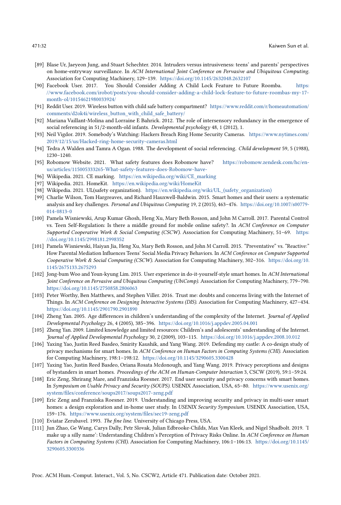- <span id="page-31-9"></span>[89] Blase Ur, Jaeyeon Jung, and Stuart Schechter. 2014. Intruders versus intrusiveness: teens' and parents' perspectives on home-entryway surveillance. In ACM International Joint Conference on Pervasive and Ubiquitous Computing. Association for Computing Machinery, 129–139. <https://doi.org/10.1145/2632048.2632107>
- <span id="page-31-1"></span>[90] Facebook User. 2017. You Should Consider Adding A Child Lock Feature to Future Roomba. [https:](https://www.facebook.com/irobot/posts/you-should-consider-adding-a-child-lock-feature-to-future-roombas-my-17-month-ol/10154621980033924/) [//www.facebook.com/irobot/posts/you-should-consider-adding-a-child-lock-feature-to-future-roombas-my-17](https://www.facebook.com/irobot/posts/you-should-consider-adding-a-child-lock-feature-to-future-roombas-my-17-month-ol/10154621980033924/) [month-ol/10154621980033924/](https://www.facebook.com/irobot/posts/you-should-consider-adding-a-child-lock-feature-to-future-roombas-my-17-month-ol/10154621980033924/)
- <span id="page-31-2"></span>[91] Reddit User. 2019. Wireless button with child safe battery compartment? [https://www.reddit.com/r/homeautomation/](https://www.reddit.com/r/homeautomation/comments/d2ok4i/wireless_button_with_child_safe_battery/) [comments/d2ok4i/wireless\\_button\\_with\\_child\\_safe\\_battery/](https://www.reddit.com/r/homeautomation/comments/d2ok4i/wireless_button_with_child_safe_battery/)
- <span id="page-31-4"></span>[92] Mariana Vaillant-Molina and Lorraine E Bahrick. 2012. The role of intersensory redundancy in the emergence of social referencing in 51/2-month-old infants. Developmental psychology 48, 1 (2012), 1.
- <span id="page-31-12"></span>[93] Neil Vigdor. 2019. Somebody's Watching: Hackers Breach Ring Home Security Cameras. [https://www.nytimes.com/](https://www.nytimes.com/2019/12/15/us/Hacked-ring-home-security-cameras.html) [2019/12/15/us/Hacked-ring-home-security-cameras.html](https://www.nytimes.com/2019/12/15/us/Hacked-ring-home-security-cameras.html)
- <span id="page-31-5"></span>[94] Tedra A Walden and Tamra A Ogan. 1988. The development of social referencing. Child development 59, 5 (1988), 1230–1240.
- <span id="page-31-21"></span>[95] Robomow Website. 2021. What safety features does Robomow have? [https://robomow.zendesk.com/hc/en](https://robomow.zendesk.com/hc/en-us/articles/115005333265-What-safety-features-does-Robomow-have-)[us/articles/115005333265-What-safety-features-does-Robomow-have-](https://robomow.zendesk.com/hc/en-us/articles/115005333265-What-safety-features-does-Robomow-have-)
- <span id="page-31-15"></span>[96] Wikipedia. 2021. CE marking. [https://en.wikipedia.org/wiki/CE\\_marking](https://en.wikipedia.org/wiki/CE_marking)
- <span id="page-31-18"></span>[97] Wikipedia. 2021. HomeKit. <https://en.wikipedia.org/wiki/HomeKit>
- <span id="page-31-16"></span>[98] Wikipedia. 2021. UL(safety organization). [https://en.wikipedia.org/wiki/UL\\_\(safety\\_organization\)](https://en.wikipedia.org/wiki/UL_(safety_organization))
- <span id="page-31-10"></span>[99] Charlie Wilson, Tom Hargreaves, and Richard Hauxwell-Baldwin. 2015. Smart homes and their users: a systematic analysis and key challenges. Personal and Ubiquitous Computing 19, 2 (2015), 463–476. [https://doi.org/10.1007/s00779-](https://doi.org/10.1007/s00779-014-0813-0) [014-0813-0](https://doi.org/10.1007/s00779-014-0813-0)
- <span id="page-31-19"></span>[100] Pamela Wisniewski, Arup Kumar Ghosh, Heng Xu, Mary Beth Rosson, and John M Carroll. 2017. Parental Control vs. Teen Self-Regulation: Is there a middle ground for mobile online safety?. In ACM Conference on Computer Supported Cooperative Work & Social Computing (CSCW). Association for Computing Machinery, 51–69. [https:](https://doi.org/10.1145/2998181.2998352) [//doi.org/10.1145/2998181.2998352](https://doi.org/10.1145/2998181.2998352)
- <span id="page-31-17"></span>[101] Pamela Wisniewski, Haiyan Jia, Heng Xu, Mary Beth Rosson, and John M Carroll. 2015. "Preventative" vs. "Reactive:" How Parental Mediation Influences Teens' Social Media Privacy Behaviors. In ACM Conference on Computer Supported Cooperative Work & Social Computing (CSCW). Association for Computing Machinery, 302–316. [https://doi.org/10.](https://doi.org/10.1145/2675133.2675293) [1145/2675133.2675293](https://doi.org/10.1145/2675133.2675293)
- <span id="page-31-8"></span>[102] Jong-bum Woo and Youn-kyung Lim. 2015. User experience in do-it-yourself-style smart homes. In ACM International Joint Conference on Pervasive and Ubiquitous Computing (UbiComp). Association for Computing Machinery, 779–790. <https://doi.org/10.1145/2750858.2806063>
- <span id="page-31-14"></span>[103] Peter Worthy, Ben Matthews, and Stephen Viller. 2016. Trust me: doubts and concerns living with the Internet of Things. In ACM Conference on Designing Interactive Systems (DIS). Association for Computing Machinery, 427–434. <https://doi.org/10.1145/2901790.2901890>
- <span id="page-31-6"></span>[104] Zheng Yan. 2005. Age differences in children's understanding of the complexity of the Internet. Journal of Applied Developmental Psychology 26, 4 (2005), 385–396. <https://doi.org/10.1016/j.appdev.2005.04.001>
- <span id="page-31-7"></span>[105] Zheng Yan. 2009. Limited knowledge and limited resources: Children's and adolescents' understanding of the Internet. Journal of Applied Developmental Psychology 30, 2 (2009), 103–115. <https://doi.org/10.1016/j.appdev.2008.10.012>
- <span id="page-31-13"></span>[106] Yaxing Yao, Justin Reed Basdeo, Smirity Kaushik, and Yang Wang. 2019. Defending my castle: A co-design study of privacy mechanisms for smart homes. In ACM Conference on Human Factors in Computing Systems (CHI). Association for Computing Machinery, 198:1–198:12. <https://doi.org/10.1145/3290605.3300428>
- [107] Yaxing Yao, Justin Reed Basdeo, Oriana Rosata Mcdonough, and Yang Wang. 2019. Privacy perceptions and designs of bystanders in smart homes. Proceedings of the ACM on Human-Computer Interaction 3, CSCW (2019), 59:1–59:24.
- <span id="page-31-11"></span>[108] Eric Zeng, Shrirang Mare, and Franziska Roesner. 2017. End user security and privacy concerns with smart homes. In Symposium on Usable Privacy and Security (SOUPS). USENIX Association, USA, 65–80. [https://www.usenix.org/](https://www.usenix.org/system/files/conference/soups2017/soups2017-zeng.pdf) [system/files/conference/soups2017/soups2017-zeng.pdf](https://www.usenix.org/system/files/conference/soups2017/soups2017-zeng.pdf)
- <span id="page-31-0"></span>[109] Eric Zeng and Franziska Roesner. 2019. Understanding and improving security and privacy in multi-user smart homes: a design exploration and in-home user study. In USENIX Security Symposium. USENIX Association, USA, 159–176. <https://www.usenix.org/system/files/sec19-zeng.pdf>
- <span id="page-31-3"></span>[110] Eviatar Zerubavel. 1993. The fine line. University of Chicago Press, USA.
- <span id="page-31-20"></span>[111] Jun Zhao, Ge Wang, Carys Dally, Petr Slovak, Julian Edbrooke-Childs, Max Van Kleek, and Nigel Shadbolt. 2019. 'I make up a silly name': Understanding Children's Perception of Privacy Risks Online. In ACM Conference on Human Factors in Computing Systems (CHI). Association for Computing Machinery, 106:1–106:13. [https://doi.org/10.1145/](https://doi.org/10.1145/3290605.3300336) [3290605.3300336](https://doi.org/10.1145/3290605.3300336)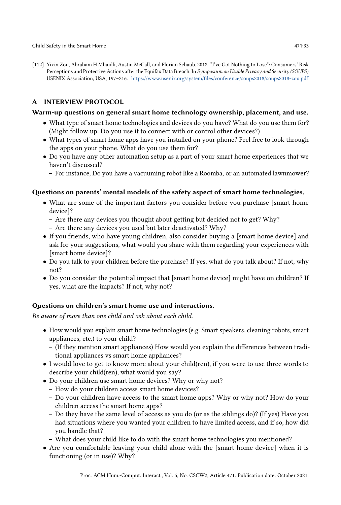<span id="page-32-1"></span>[112] Yixin Zou, Abraham H Mhaidli, Austin McCall, and Florian Schaub. 2018. "I've Got Nothing to Lose": Consumers' Risk Perceptions and Protective Actions after the Equifax Data Breach. In Symposium on Usable Privacy and Security (SOUPS). USENIX Association, USA, 197–216. <https://www.usenix.org/system/files/conference/soups2018/soups2018-zou.pdf>

# <span id="page-32-0"></span>A INTERVIEW PROTOCOL

### Warm-up questions on general smart home technology ownership, placement, and use.

- What type of smart home technologies and devices do you have? What do you use them for? (Might follow up: Do you use it to connect with or control other devices?)
- What types of smart home apps have you installed on your phone? Feel free to look through the apps on your phone. What do you use them for?
- Do you have any other automation setup as a part of your smart home experiences that we haven't discussed?
	- For instance, Do you have a vacuuming robot like a Roomba, or an automated lawnmower?

# Questions on parents' mental models of the safety aspect of smart home technologies.

- What are some of the important factors you consider before you purchase [smart home device]?
	- Are there any devices you thought about getting but decided not to get? Why?
	- Are there any devices you used but later deactivated? Why?
- If you friends, who have young children, also consider buying a [smart home device] and ask for your suggestions, what would you share with them regarding your experiences with [smart home device]?
- Do you talk to your children before the purchase? If yes, what do you talk about? If not, why not?
- Do you consider the potential impact that [smart home device] might have on children? If yes, what are the impacts? If not, why not?

# Questions on children's smart home use and interactions.

Be aware of more than one child and ask about each child.

- How would you explain smart home technologies (e.g. Smart speakers, cleaning robots, smart appliances, etc.) to your child?
	- (If they mention smart appliances) How would you explain the differences between traditional appliances vs smart home appliances?
- I would love to get to know more about your child(ren), if you were to use three words to describe your child(ren), what would you say?
- Do your children use smart home devices? Why or why not?
	- How do your children access smart home devices?
	- Do your children have access to the smart home apps? Why or why not? How do your children access the smart home apps?
	- Do they have the same level of access as you do (or as the siblings do)? (If yes) Have you had situations where you wanted your children to have limited access, and if so, how did you handle that?
	- What does your child like to do with the smart home technologies you mentioned?
- Are you comfortable leaving your child alone with the [smart home device] when it is functioning (or in use)? Why?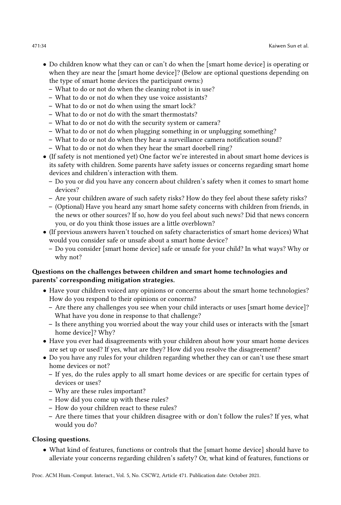- Do children know what they can or can't do when the [smart home device] is operating or when they are near the [smart home device]? (Below are optional questions depending on the type of smart home devices the participant owns:)
	- What to do or not do when the cleaning robot is in use?
	- What to do or not do when they use voice assistants?
	- What to do or not do when using the smart lock?
	- What to do or not do with the smart thermostats?
	- What to do or not do with the security system or camera?
	- What to do or not do when plugging something in or unplugging something?
	- What to do or not do when they hear a surveillance camera notification sound?
	- What to do or not do when they hear the smart doorbell ring?
- (If safety is not mentioned yet) One factor we're interested in about smart home devices is its safety with children. Some parents have safety issues or concerns regarding smart home devices and children's interaction with them.
	- Do you or did you have any concern about children's safety when it comes to smart home devices?
	- Are your children aware of such safety risks? How do they feel about these safety risks?
	- (Optional) Have you heard any smart home safety concerns with children from friends, in the news or other sources? If so, how do you feel about such news? Did that news concern you, or do you think those issues are a little overblown?
- (If previous answers haven't touched on safety characteristics of smart home devices) What would you consider safe or unsafe about a smart home device?
	- Do you consider [smart home device] safe or unsafe for your child? In what ways? Why or why not?

# Questions on the challenges between children and smart home technologies and parents' corresponding mitigation strategies.

- Have your children voiced any opinions or concerns about the smart home technologies? How do you respond to their opinions or concerns?
	- Are there any challenges you see when your child interacts or uses [smart home device]? What have you done in response to that challenge?
	- Is there anything you worried about the way your child uses or interacts with the [smart home device]? Why?
- Have you ever had disagreements with your children about how your smart home devices are set up or used? If yes, what are they? How did you resolve the disagreement?
- Do you have any rules for your children regarding whether they can or can't use these smart home devices or not?
	- If yes, do the rules apply to all smart home devices or are specific for certain types of devices or uses?
	- Why are these rules important?
	- How did you come up with these rules?
	- How do your children react to these rules?
	- Are there times that your children disagree with or don't follow the rules? If yes, what would you do?

# Closing questions.

• What kind of features, functions or controls that the [smart home device] should have to alleviate your concerns regarding children's safety? Or, what kind of features, functions or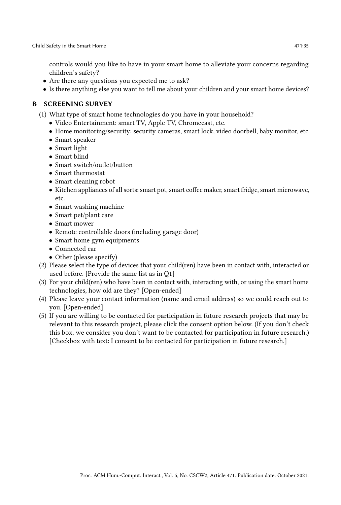controls would you like to have in your smart home to alleviate your concerns regarding children's safety?

- Are there any questions you expected me to ask?
- Is there anything else you want to tell me about your children and your smart home devices?

# <span id="page-34-0"></span>B SCREENING SURVEY

- (1) What type of smart home technologies do you have in your household?
	- Video Entertainment: smart TV, Apple TV, Chromecast, etc.
	- Home monitoring/security: security cameras, smart lock, video doorbell, baby monitor, etc.
	- Smart speaker
	- Smart light
	- Smart blind
	- Smart switch/outlet/button
	- Smart thermostat
	- Smart cleaning robot
	- Kitchen appliances of all sorts: smart pot, smart coffee maker, smart fridge, smart microwave, etc.
	- Smart washing machine
	- Smart pet/plant care
	- Smart mower
	- Remote controllable doors (including garage door)
	- Smart home gym equipments
	- Connected car
	- Other (please specify)
- (2) Please select the type of devices that your child(ren) have been in contact with, interacted or used before. [Provide the same list as in Q1]
- (3) For your child(ren) who have been in contact with, interacting with, or using the smart home technologies, how old are they? [Open-ended]
- (4) Please leave your contact information (name and email address) so we could reach out to you. [Open-ended]
- (5) If you are willing to be contacted for participation in future research projects that may be relevant to this research project, please click the consent option below. (If you don't check this box, we consider you don't want to be contacted for participation in future research.) [Checkbox with text: I consent to be contacted for participation in future research.]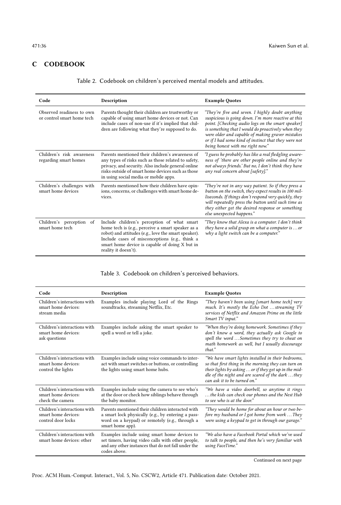# <span id="page-35-0"></span>C CODEBOOK

| Code                                                    | Description                                                                                                                                                                                                                                                                          | <b>Example Quotes</b>                                                                                                                                                                                                                                                                                                                                              |
|---------------------------------------------------------|--------------------------------------------------------------------------------------------------------------------------------------------------------------------------------------------------------------------------------------------------------------------------------------|--------------------------------------------------------------------------------------------------------------------------------------------------------------------------------------------------------------------------------------------------------------------------------------------------------------------------------------------------------------------|
| Observed readiness to own<br>or control smart home tech | Parents thought their children are trustworthy or<br>capable of using smart home devices or not. Can<br>include cases of non-use if it's implied that chil-<br>dren are following what they're supposed to do.                                                                       | "They're five and seven. I highly doubt anything<br>suspicious is going down. I'm more reactive at this<br>point. [Checking audio logs on the smart speaker]<br>is something that I would do proactively when they<br>were older and capable of making graver mistakes<br>or if I had some kind of instinct that they were not<br>being honest with me right now." |
| Children's risk awareness<br>regarding smart homes      | Parents mentioned their children's awareness of<br>any types of risks such as those related to safety,<br>privacy, and security. Also include general online<br>risks outside of smart home devices such as those<br>in using social media or mobile apps.                           | "I guess he probably has like a real fledgling aware-<br>ness of 'there are other people online and they're<br>not always friends.' But no, I don't think they have<br>any real concern about [safety]."                                                                                                                                                           |
| Children's challenges with<br>smart home devices        | Parents mentioned how their children have opin-<br>ions, concerns, or challenges with smart home de-<br>vices.                                                                                                                                                                       | "They're not in any way patient. So if they press a<br>button on the switch, they expect results in 100 mil-<br>liseconds. If things don't respond very quickly, they<br>will repeatedly press the button until such time as<br>they either get the desired response or something<br>else unexpected happens."                                                     |
| Children's perception of<br>smart home tech             | Include children's perception of what smart<br>home tech is (e.g., perceive a smart speaker as a<br>robot) and attitudes (e.g., love the smart speaker).<br>Include cases of misconceptions (e.g., think a<br>smart home device is capable of doing X but in<br>reality it doesn't). | "They know that Alexa is a computer. I don't think<br>they have a solid grasp on what a computer is $\dots$ or<br>why a light switch can be a computer."                                                                                                                                                                                                           |

### Table 3. Codebook on children's perceived behaviors.

| Code                                                                      | Description                                                                                                                                                                  | <b>Example Quotes</b>                                                                                                                                                                                                                                   |
|---------------------------------------------------------------------------|------------------------------------------------------------------------------------------------------------------------------------------------------------------------------|---------------------------------------------------------------------------------------------------------------------------------------------------------------------------------------------------------------------------------------------------------|
| Children's interactions with<br>smart home devices:<br>stream media       | Examples include playing Lord of the Rings<br>soundtracks, streaming Netflix, Etc.                                                                                           | "They haven't been using [smart home tech] very<br>much. It's mostly the Echo Dot  streaming TV<br>services of Netflix and Amazon Prime on the little<br>Smart TV input."                                                                               |
| Children's interactions with<br>smart home devices:<br>ask questions      | Examples include asking the smart speaker to<br>spell a word or tell a joke.                                                                                                 | "When they're doing homework. Sometimes if they<br>don't know a word, they actually ask Google to<br>spell the word Sometimes they try to cheat on<br>math homework as well, but I usually discourage<br>that."                                         |
| Children's interactions with<br>smart home devices:<br>control the lights | Examples include using voice commands to inter-<br>act with smart switches or buttons, or controlling<br>the lights using smart home hubs.                                   | "We have smart lights installed in their bedrooms,<br>so that first thing in the morning they can turn on<br>their lights by asking  or if they get up in the mid-<br>dle of the night and are scared of the dark  they<br>can ask it to be turned on." |
| Children's interactions with<br>smart home devices:<br>check the camera   | Examples include using the camera to see who's<br>at the door or check how siblings behave through<br>the baby monitor.                                                      | "We have a video doorbell, so anytime it rings<br>the kids can check our phones and the Nest Hub<br>to see who is at the door."                                                                                                                         |
| Children's interactions with<br>smart home devices:<br>control door locks | Parents mentioned their children interacted with<br>a smart lock physically (e.g., by entering a pass-<br>word on a keypad) or remotely (e.g., through a<br>smart home app). | "They would be home for about an hour or two be-<br>fore my husband or I got home from work  They<br>were using a keypad to get in through our garage."                                                                                                 |
| Children's interactions with<br>smart home devices: other                 | Examples include using smart home devices to<br>set timers, having video calls with other people,<br>and any other instances that do not fall under the<br>codes above.      | "We also have a Facebook Portal which we've used<br>to talk to people, and then he's very familiar with<br>using FaceTime."                                                                                                                             |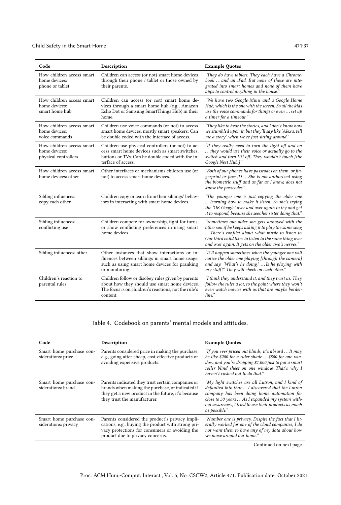| Code                                                               | Description                                                                                                                                                                    | <b>Example Quotes</b>                                                                                                                                                                                                                                                       |
|--------------------------------------------------------------------|--------------------------------------------------------------------------------------------------------------------------------------------------------------------------------|-----------------------------------------------------------------------------------------------------------------------------------------------------------------------------------------------------------------------------------------------------------------------------|
| How children access smart<br>home devices:<br>phone or tablet      | Children can access (or not) smart home devices<br>through their phone / tablet or those owned by<br>their parents.                                                            | "They do have tablets. They each have a Chrome-<br>book  and an iPad. But none of those are inte-<br>grated into smart homes and none of them have<br>apps to control anything in the house."                                                                               |
| How children access smart<br>home devices:<br>smart home hub       | Children can access (or not) smart home de-<br>vices through a smart home hub (e.g., Amazon<br>Echo Dot or Samsung SmartThings Hub) in their<br>home.                          | "We have two Google Minis and a Google Home<br>Hub, which is the one with the screen. So all the kids<br>use the voice commands for things or even  set up<br>a timer for a timeout."                                                                                       |
| How children access smart<br>home devices:<br>voice commands       | Children use voice commands (or not) to access<br>smart home devices, mostly smart speakers. Can<br>be double coded with the interface of access.                              | "They like to hear the stories, and I don't know how<br>we stumbled upon it, but they'll say like 'Alexa, tell<br>me a story' when we're just sitting around."                                                                                                              |
| How children access smart<br>home devices:<br>physical controllers | Children use physical controllers (or not) to ac-<br>cess smart home devices such as smart switches.<br>buttons or TVs. Can be double coded with the in-<br>terface of access. | "If they really need to turn the light off and on<br>they would use their voice or actually go to the<br>switch and turn [it] off. They wouldn't touch [the<br>Google Nest Hub.]"                                                                                           |
| How children access smart<br>home devices: other                   | Other interfaces or mechanisms children use (or<br>not) to access smart home devices.                                                                                          | "Both of our phones have passcodes on them, or fin-<br>gerprint or face ID She is not authorized using<br>the biometric stuff and as far as I know, does not<br>know the passcodes."                                                                                        |
| Sibling influences:<br>copy each other                             | Children copy or learn from their siblings' behav-<br>iors in interacting with smart home devices.                                                                             | "The younger one is just copying the older one<br>learning how to make it listen. So she's trying<br>the 'OK Google' over and over again to try and get<br>it to respond, because she sees her sister doing that."                                                          |
| Sibling influences:<br>conflicting use                             | Children compete for ownership, fight for turns,<br>or show conflicting preferences in using smart<br>home devices.                                                            | "Sometimes our older son gets annoyed with the<br>other son if he keeps asking it to play the same song<br>There's conflict about what music to listen to.<br>Our third child likes to listen to the same thing over<br>and over again. It gets on the older two's nerves." |
| Sibling influences: other                                          | Other instances that show interactions or in-<br>fluences between siblings in smart home usage,<br>such as using smart home devices for pranking<br>or monitoring.             | "It'll happen sometimes when the younger one will<br>notice the older one playing [through the camera]<br>and say, 'What's he doing? Is he playing with<br>my stuff?' They will check on each other."                                                                       |
| Children's reaction to<br>parental rules                           | Children follow or disobey rules given by parents<br>about how they should use smart home devices.<br>The focus is on children's reactions, not the rule's<br>content.         | "I think they understand it, and they trust us. They<br>follow the rules a lot, to the point where they won't<br>even watch movies with us that are maybe border-<br>line."                                                                                                 |

# Table 4. Codebook on parents' mental models and attitudes.

| Code                                             | Description                                                                                                                                                                                 | <b>Example Quotes</b>                                                                                                                                                                                                                                                           |
|--------------------------------------------------|---------------------------------------------------------------------------------------------------------------------------------------------------------------------------------------------|---------------------------------------------------------------------------------------------------------------------------------------------------------------------------------------------------------------------------------------------------------------------------------|
| Smart home purchase con-<br>siderations: price   | Parents considered price in making the purchase,<br>e.g., going after cheap, cost-effective products or<br>avoiding expensive products.                                                     | "If you ever priced out blinds, it's absurd  It may<br>be like \$200 for a ruler shade  \$800 for one win-<br>dow, and you're dropping \$1,000 just to put a smart<br>roller blind sheet on one window. That's why I<br>haven't rushed out to do that."                         |
| Smart home purchase con-<br>siderations: brand   | Parents indicated they trust certain companies or<br>brands when making the purchase, or indicated if<br>they get a new product in the future, it's because<br>they trust the manufacturer. | "My light switches are all Lutron, and I kind of<br>defaulted into that  I discovered that the Lutron<br>company has been doing home automation for<br>close to 30 years As I expanded my system with-<br>out awareness, I tried to use their products as much<br>as possible." |
| Smart home purchase con-<br>siderations: privacy | Parents considered the product's privacy impli-<br>cations, e.g., buying the product with strong pri-<br>vacy protections for consumers or avoiding the<br>product due to privacy concerns. | "Number one is privacy. Despite the fact that I lit-<br>erally worked for one of the cloud companies, I do<br>not want them to have any of my data about how<br>we move around our home."                                                                                       |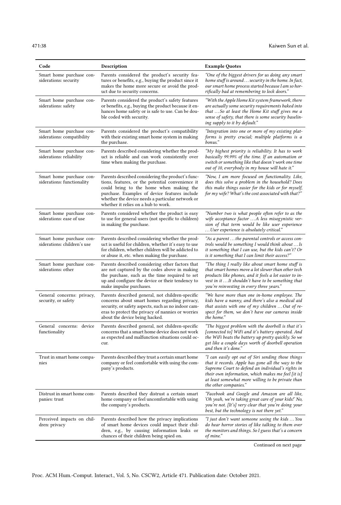| Code                                                    | Description                                                                                                                                                                                                                                                                                  | <b>Example Quotes</b>                                                                                                                                                                                                                                                                             |
|---------------------------------------------------------|----------------------------------------------------------------------------------------------------------------------------------------------------------------------------------------------------------------------------------------------------------------------------------------------|---------------------------------------------------------------------------------------------------------------------------------------------------------------------------------------------------------------------------------------------------------------------------------------------------|
| Smart home purchase con-<br>siderations: security       | Parents considered the product's security fea-<br>tures or benefits, e.g., buying the product since it<br>makes the home more secure or avoid the prod-<br>uct due to security concerns.                                                                                                     | "One of the biggest drivers for us doing any smart<br>home stuff is around security in the home. In fact,<br>our smart home process started because I am so hor-<br>rifically bad at remembering to lock doors."                                                                                  |
| Smart home purchase con-<br>siderations: safety         | Parents considered the product's safety features<br>or benefits, e.g., buying the product because it en-<br>hances home safety or is safe to use. Can be dou-<br>ble coded with security.                                                                                                    | "With the Apple Home Kit system framework, there<br>are actually some security requirements baked into<br>that So at least the Home Kit stuff gives me a<br>sense of safety, that there is some security baselin-<br>ing supply to it by default."                                                |
| Smart home purchase con-<br>siderations: compatibility  | Parents considered the product's compatibility<br>with their existing smart home system in making<br>the purchase.                                                                                                                                                                           | "Integration into one or more of my existing plat-<br>forms is pretty crucial; multiple platforms is a<br>bonus."                                                                                                                                                                                 |
| Smart home purchase con-<br>siderations: reliability    | Parents described considering whether the prod-<br>uct is reliable and can work consistently over<br>time when making the purchase.                                                                                                                                                          | "My highest priority is reliability. It has to work<br>basically 99.99% of the time. If an automation or<br>switch or something like that doesn't work one time<br>out of 10, everybody in my house will hate it."                                                                                |
| Smart home purchase con-<br>siderations: functionality  | Parents described considering the product's func-<br>tions, features, or the potential convenience it<br>could bring to the home when making the<br>purchase. Examples of device features include<br>whether the device needs a particular network or<br>whether it relies on a hub to work. | "Now, I am more focused on functionality. Like,<br>does this solve a problem in the household? Does<br>this make things easier for the kids or for myself,<br>for my wife? What's the cost associated with that?"                                                                                 |
| Smart home purchase con-<br>siderations: ease of use    | Parents considered whether the product is easy<br>to use for general users (not specific to children)<br>in making the purchase.                                                                                                                                                             | "Number two is what people often refer to as the<br>wife acceptance factor  A less misogynistic ver-<br>sion of that term would be like user experience<br>User experience is absolutely critical."                                                                                               |
| Smart home purchase con-<br>siderations: children's use | Parents described considering whether the prod-<br>uct is useful for children, whether it's easy to use<br>for children, whether children will be addicted to<br>or abuse it, etc. when making the purchase.                                                                                 | "As a parent  the parental controls or access con-<br>trols would be something I would think about  Is<br>it something that I can use, but the kids can't? Or<br>is it something that I can limit their access?"                                                                                  |
| Smart home purchase con-<br>siderations: other          | Parents described considering other factors that<br>are not captured by the codes above in making<br>the purchase, such as the time required to set<br>up and configure the device or their tendency to<br>make impulse purchases.                                                           | "The thing I really like about smart home stuff is<br>that smart homes move a lot slower than other tech<br>products like phones, and it feels a lot easier to in-<br>vest in it It shouldn't have to be something that<br>you're reinvesting in every three years."                              |
| General concerns: privacy,<br>security, or safety       | Parents described general, not children-specific<br>concerns about smart homes regarding privacy,<br>security, or safety aspects, such as no indoor cam-<br>eras to protect the privacy of nannies or worries<br>about the device being hacked.                                              | "We have more than one in-home employee. The<br>kids have a nanny, and there's also a medical aid<br>that assists with one of my children  Out of re-<br>spect for them, we don't have our cameras inside<br>the home."                                                                           |
| General concerns: device<br>functionality               | Parents described general, not children-specific<br>concerns that a smart home device does not work<br>as expected and malfunction situations could oc-<br>cur.                                                                                                                              | "The biggest problem with the doorbell is that it's<br>[connected to] WiFi and it's battery operated. And<br>the WiFi beats the battery up pretty quickly. So we<br>get like a couple days worth of doorbell operation<br>and then it's done."                                                    |
| Trust in smart home compa-<br>nies                      | Parents described they trust a certain smart home<br>company or feel comfortable with using the com-<br>pany's products.                                                                                                                                                                     | "I can easily opt out of Siri sending those things<br>that it records. Apple has gone all the way to the<br>Supreme Court to defend an individual's rights in<br>their own information, which makes me feel [it is]<br>at least somewhat more willing to be private than<br>the other companies." |
| Distrust in smart home com-<br>panies: trust            | Parents described they distrust a certain smart<br>home company or feel uncomfortable with using<br>the company's products.                                                                                                                                                                  | "Facebook and Google and Amazon are all like,<br>'Oh yeah, we're taking great care of your kids!' No,<br>you're not. [It's] very clear that you're doing your<br>best, but the technology is not there yet."                                                                                      |
| Perceived impacts on chil-<br>dren: privacy             | Parents described how the privacy implications<br>of smart home devices could impact their chil-<br>dren, e.g., by causing information leaks or<br>chances of their children being spied on.                                                                                                 | "I just don't want someone seeing the kids  You<br>do hear horror stories of like talking to them over<br>the monitors and things. So I guess that's a concern<br>of mine."                                                                                                                       |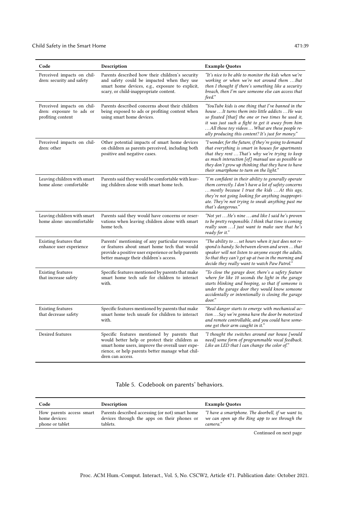| Code                                                                        | Description                                                                                                                                                                                                               | <b>Example Quotes</b>                                                                                                                                                                                                                                                                                                     |
|-----------------------------------------------------------------------------|---------------------------------------------------------------------------------------------------------------------------------------------------------------------------------------------------------------------------|---------------------------------------------------------------------------------------------------------------------------------------------------------------------------------------------------------------------------------------------------------------------------------------------------------------------------|
| Perceived impacts on chil-<br>dren: security and safety                     | Parents described how their children's security<br>and safety could be impacted when they use<br>smart home devices, e.g., exposure to explicit,<br>scary, or child-inappropriate content.                                | "It's nice to be able to monitor the kids when we're<br>working or when we're not around them But<br>then I thought if there's something like a security<br>breach, then I'm sure someone else can access that<br>feed."                                                                                                  |
| Perceived impacts on chil-<br>dren: exposure to ads or<br>profiting content | Parents described concerns about their children<br>being exposed to ads or profiting content when<br>using smart home devices.                                                                                            | "YouTube kids is one thing that I've banned in the<br>house  It turns them into little addicts  He was<br>so fixated [that] the one or two times he used it,<br>it was just such a fight to get it away from him<br>All those toy videos  What are these people re-<br>ally producing this content? It's just for money." |
| Perceived impacts on chil-<br>dren: other                                   | Other potential impacts of smart home devices<br>on children as parents perceived, including both<br>positive and negative cases.                                                                                         | "I wonder, for the future, if they're going to demand<br>that everything is smart in houses for apartments<br>that they rent  That's why we're trying to keep<br>as much interaction [of] manual use as possible so<br>they don't grow up thinking that they have to have<br>their smartphone to turn on the light."      |
| Leaving children with smart<br>home alone: comfortable                      | Parents said they would be comfortable with leav-<br>ing children alone with smart home tech.                                                                                                                             | "I'm confident in their ability to generally operate<br>them correctly. I don't have a lot of safety concerns<br>mostly because I trust the kids  At this age,<br>they're not going looking for anything inappropri-<br>ate. They're not trying to sneak anything past me<br>that's dangerous."                           |
| Leaving children with smart<br>home alone: uncomfortable                    | Parents said they would have concerns or reser-<br>vations when leaving children alone with smart<br>home tech.                                                                                                           | "Not yet He's nine  and like I said he's proven<br>to be pretty responsible. I think that time is coming<br>really soon  I just want to make sure that he's<br>ready for it."                                                                                                                                             |
| Existing features that<br>enhance user experience                           | Parents' mentioning of any particular resources<br>or features about smart home tech that would<br>provide a positive user experience or help parents<br>better manage their children's access.                           | "The ability to  set hours when it just does not re-<br>spond is handy. So between eleven and seven that<br>speaker will not listen to anyone except the adults.<br>So that they can't get up at two in the morning and<br>decide they really want to watch Paw Patrol."                                                  |
| <b>Existing features</b><br>that increase safety                            | Specific features mentioned by parents that make<br>smart home tech safe for children to interact<br>with.                                                                                                                | "To close the garage door, there's a safety feature<br>where for like 10 seconds the light in the garage<br>starts blinking and beeping, so that if someone is<br>under the garage door they would know someone<br>accidentally or intentionally is closing the garage<br>door."                                          |
| <b>Existing features</b><br>that decrease safety                            | Specific features mentioned by parents that make<br>smart home tech unsafe for children to interact<br>with.                                                                                                              | "Real danger starts to emerge with mechanical ac-<br>tion  Say we're gonna have the door be motorized<br>and remote controllable, and you could have some-<br>one get their arm caught in it."                                                                                                                            |
| Desired features                                                            | Specific features mentioned by parents that<br>would better help or protect their children as<br>smart home users, improve the overall user expe-<br>rience, or help parents better manage what chil-<br>dren can access. | "I thought the switches around our house [would<br>need] some form of programmable vocal feedback.<br>Like an LED that I can change the color of."                                                                                                                                                                        |

### Table 5. Codebook on parents' behaviors.

| Code                     | Description                                     | <b>Example Quotes</b>                              |
|--------------------------|-------------------------------------------------|----------------------------------------------------|
| How parents access smart | Parents described accessing (or not) smart home | "I have a smartphone. The doorbell, if we want to, |
| home devices:            | devices through the apps on their phones or     | we can open up the Ring app to see through the     |
| phone or tablet          | tablets.                                        | camera."                                           |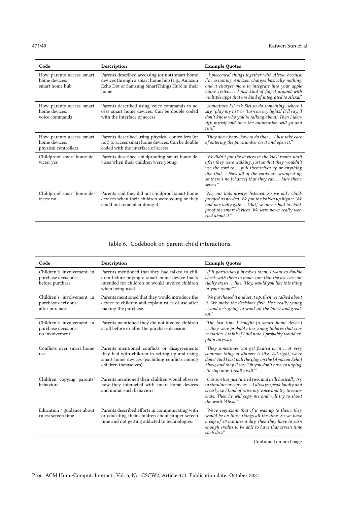| Code                                                              | Description                                                                                                                                                 | <b>Example Quotes</b>                                                                                                                                                                                                                                                           |
|-------------------------------------------------------------------|-------------------------------------------------------------------------------------------------------------------------------------------------------------|---------------------------------------------------------------------------------------------------------------------------------------------------------------------------------------------------------------------------------------------------------------------------------|
| How parents access smart<br>home devices:<br>smart home hub       | Parents described accessing (or not) smart home<br>devices through a smart home hub (e.g., Amazon<br>Echo Dot or Samsung SmartThings Hub) in their<br>home. | "I piecemeal things together with Alexa, because<br>I'm assuming Amazon charges basically nothing,<br>and it charges more to integrate into your apple<br>home system  I just kind of fidget around with<br>multiple apps that are kind of integrated to Alexa."                |
| How parents access smart<br>home devices:<br>voice commands       | Parents described using voice commands to ac-<br>cess smart home devices. Can be double coded<br>with the interface of access.                              | "Sometimes I'll ask Siri to do something, where I<br>say, 'play my list' or 'turn on my lights.' It'll say, 'I<br>don't know who you're talking about.' Then I iden-<br>tify myself and then the automation will go and<br>run."                                                |
| How parents access smart<br>home devices:<br>physical controllers | Parents described using physical controllers (or<br>not) to access smart home devices. Can be double<br>coded with the interface of access.                 | "They don't know how to do that  I just take care<br>of entering the pin number on it and open it."                                                                                                                                                                             |
| Childproof smart home de-<br>vices: yes                           | Parents described childproofing smart home de-<br>vices when their children were young.                                                                     | "We didn't put the devices in the kids' rooms until<br>after they were walking, just so that they wouldn't<br>use the cord to  pull themselves up or anything<br>like that Now all of the cords are wrapped up,<br>so there's no [chance] that they can  hurt them-<br>selves." |
| Childproof smart home de-<br>vices: no                            | Parents said they did not childproof smart home<br>devices when their children were young or they<br>could not remember doing it.                           | "No, our kids always listened. So we only child-<br>proofed as needed. We put the knives up higher. We<br>had one baby gate  [But] we never had to child-<br>proof the smart devices. We were never really wor-<br>ried about it."                                              |

### Table 6. Codebook on parent-child interactions.

| Code                                                                | Description                                                                                                                                                              | <b>Example Quotes</b>                                                                                                                                                                                                                                |
|---------------------------------------------------------------------|--------------------------------------------------------------------------------------------------------------------------------------------------------------------------|------------------------------------------------------------------------------------------------------------------------------------------------------------------------------------------------------------------------------------------------------|
| Children's involvement in<br>purchase decisions:<br>before purchase | Parents mentioned that they had talked to chil-<br>dren before buying a smart home device that's<br>intended for children or would involve children<br>when being used.  | "If it particularly involves them, I want to double<br>check with them to make sure that the use case ac-<br>tually exists  like, 'Hey, would you like this thing<br>in your room?""                                                                 |
| Children's involvement in<br>purchase decisions:<br>after purchase  | Parents mentioned that they would introduce the<br>device to children and explain rules of use after<br>making the purchase.                                             | "We purchased it and set it up, then we talked about<br>it. We make the decisions first. He's really young<br>and he's going to want all the latest and great-<br>$est.$ "                                                                           |
| Children's involvement in<br>purchase decisions:<br>no involvement  | Parents mentioned they did not involve children<br>at all before or after the purchase decision.                                                                         | "The last time I bought [a smart home device]<br>they were probably too young to have that con-<br>versation. I think if I did now, I probably would ex-<br>plain anyway."                                                                           |
| Conflicts over smart home<br>use                                    | Parents mentioned conflicts or disagreements<br>they had with children in setting up and using<br>smart home devices (excluding conflicts among<br>children themselves). | "They sometimes can get fixated on it  A very<br>common thing at dinners is like 'All right, we're<br>done.' And I just pull the plug on the [Amazon Echo]<br>Show, and they'll say 'Oh you don't have to unplug,<br>I'll stop now. I really will."" |
| Children copying parents'<br>behaviors                              | Parents mentioned their children would observe<br>how they interacted with smart home devices<br>and mimic such behaviors.                                               | "Our son has just turned two, and he'll basically try<br>to simulate or copy us  I always speak loudly and<br>clearly, so I kind of raise my voice and try to enun-<br>ciate. Then he will copy me and will try to shout<br>the word 'Alexa."        |
| Education / guidance about<br>rules: screen time                    | Parents described efforts in communicating with<br>or educating their children about proper screen<br>time and not getting addicted to technologies.                     | "We're cognizant that if it was up to them, they<br>would be on those things all the time. So we have<br>a cap of 30 minutes a day, then they have to earn<br>enough credits to be able to have that screen time<br>each day."                       |
|                                                                     |                                                                                                                                                                          |                                                                                                                                                                                                                                                      |